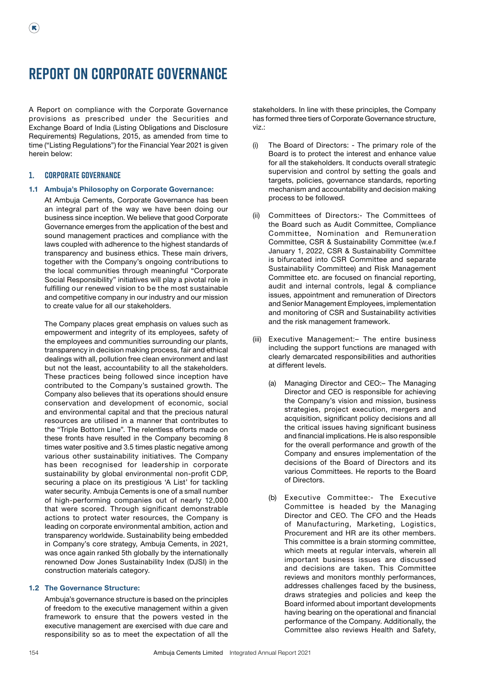# **Report on Corporate Governance**

A Report on compliance with the Corporate Governance provisions as prescribed under the Securities and Exchange Board of India (Listing Obligations and Disclosure Requirements) Regulations, 2015, as amended from time to time ("Listing Regulations") for the Financial Year 2021 is given herein below:

## **1. Corporate Governance**

 $(\mathbf{R})$ 

## 1.1 Ambuja's Philosophy on Corporate Governance:

At Ambuja Cements, Corporate Governance has been an integral part of the way we have been doing our business since inception. We believe that good Corporate Governance emerges from the application of the best and sound management practices and compliance with the laws coupled with adherence to the highest standards of transparency and business ethics. These main drivers, together with the Company's ongoing contributions to the local communities through meaningful "Corporate Social Responsibility" initiatives will play a pivotal role in fulfilling our renewed vision to be the most sustainable and competitive company in our industry and our mission to create value for all our stakeholders.

The Company places great emphasis on values such as empowerment and integrity of its employees, safety of the employees and communities surrounding our plants, transparency in decision making process, fair and ethical dealings with all, pollution free clean environment and last but not the least, accountability to all the stakeholders. These practices being followed since inception have contributed to the Company's sustained growth. The Company also believes that its operations should ensure conservation and development of economic, social and environmental capital and that the precious natural resources are utilised in a manner that contributes to the "Triple Bottom Line". The relentless efforts made on these fronts have resulted in the Company becoming 8 times water positive and 3.5 times plastic negative among various other sustainability initiatives. The Company has been recognised for leadership in corporate sustainability by global environmental non-profit CDP, securing a place on its prestigious 'A List' for tackling water security. Ambuja Cements is one of a small number of high-performing companies out of nearly 12,000 that were scored. Through significant demonstrable actions to protect water resources, the Company is leading on corporate environmental ambition, action and transparency worldwide. Sustainability being embedded in Company's core strategy, Ambuja Cements, in 2021, was once again ranked 5th globally by the internationally renowned Dow Jones Sustainability Index (DJSI) in the construction materials category.

#### 1.2 The Governance Structure:

Ambuja's governance structure is based on the principles of freedom to the executive management within a given framework to ensure that the powers vested in the executive management are exercised with due care and responsibility so as to meet the expectation of all the

stakeholders. In line with these principles, the Company has formed three tiers of Corporate Governance structure, viz.:

- (i) The Board of Directors: The primary role of the Board is to protect the interest and enhance value for all the stakeholders. It conducts overall strategic supervision and control by setting the goals and targets, policies, governance standards, reporting mechanism and accountability and decision making process to be followed.
- Committees of Directors:- The Committees of the Board such as Audit Committee, Compliance Committee, Nomination and Remuneration Committee, CSR & Sustainability Committee (w.e.f January 1, 2022, CSR & Sustainability Committee is bifurcated into CSR Committee and separate Sustainability Committee) and Risk Management Committee etc. are focused on financial reporting, audit and internal controls, legal & compliance issues, appointment and remuneration of Directors and Senior Management Employees, implementation and monitoring of CSR and Sustainability activities and the risk management framework.
- (iii) Executive Management:– The entire business including the support functions are managed with clearly demarcated responsibilities and authorities at different levels.
	- (a) Managing Director and CEO:– The Managing Director and CEO is responsible for achieving the Company's vision and mission, business strategies, project execution, mergers and acquisition, significant policy decisions and all the critical issues having significant business and financial implications. He is also responsible for the overall performance and growth of the Company and ensures implementation of the decisions of the Board of Directors and its various Committees. He reports to the Board of Directors.
	- (b) Executive Committee:- The Executive Committee is headed by the Managing Director and CEO. The CFO and the Heads of Manufacturing, Marketing, Logistics, Procurement and HR are its other members. This committee is a brain storming committee, which meets at regular intervals, wherein all important business issues are discussed and decisions are taken. This Committee reviews and monitors monthly performances, addresses challenges faced by the business, draws strategies and policies and keep the Board informed about important developments having bearing on the operational and financial performance of the Company. Additionally, the Committee also reviews Health and Safety,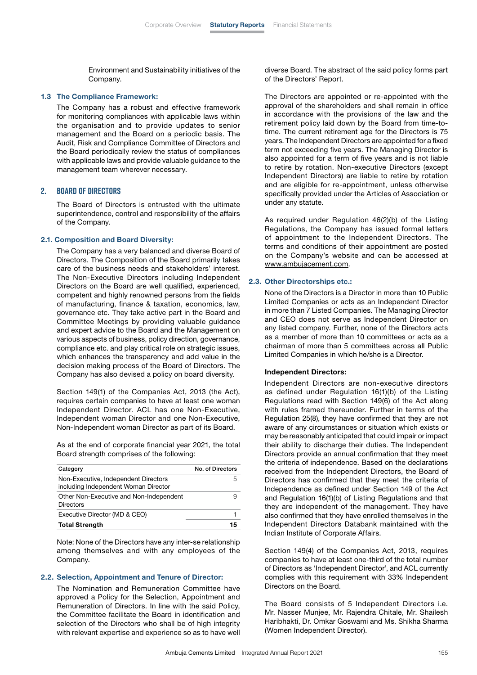Environment and Sustainability initiatives of the Company.

#### 1.3 The Compliance Framework:

 The Company has a robust and effective framework for monitoring compliances with applicable laws within the organisation and to provide updates to senior management and the Board on a periodic basis. The Audit, Risk and Compliance Committee of Directors and the Board periodically review the status of compliances with applicable laws and provide valuable guidance to the management team wherever necessary.

#### **2. Board of Directors**

 The Board of Directors is entrusted with the ultimate superintendence, control and responsibility of the affairs of the Company.

#### 2.1. Composition and Board Diversity:

 The Company has a very balanced and diverse Board of Directors. The Composition of the Board primarily takes care of the business needs and stakeholders' interest. The Non-Executive Directors including Independent Directors on the Board are well qualified, experienced, competent and highly renowned persons from the fields of manufacturing, finance & taxation, economics, law, governance etc. They take active part in the Board and Committee Meetings by providing valuable guidance and expert advice to the Board and the Management on various aspects of business, policy direction, governance, compliance etc. and play critical role on strategic issues, which enhances the transparency and add value in the decision making process of the Board of Directors. The Company has also devised a policy on board diversity.

 Section 149(1) of the Companies Act, 2013 (the Act), requires certain companies to have at least one woman Independent Director. ACL has one Non-Executive, Independent woman Director and one Non-Executive, Non-Independent woman Director as part of its Board.

 As at the end of corporate financial year 2021, the total Board strength comprises of the following:

| Category                                                                     | No. of Directors |
|------------------------------------------------------------------------------|------------------|
| Non-Executive, Independent Directors<br>including Independent Woman Director |                  |
| Other Non-Executive and Non-Independent<br><b>Directors</b>                  |                  |
| Executive Director (MD & CEO)                                                |                  |
| <b>Total Strength</b>                                                        | 15               |

 Note: None of the Directors have any inter-se relationship among themselves and with any employees of the Company.

#### 2.2. Selection, Appointment and Tenure of Director:

 The Nomination and Remuneration Committee have approved a Policy for the Selection, Appointment and Remuneration of Directors. In line with the said Policy, the Committee facilitate the Board in identification and selection of the Directors who shall be of high integrity with relevant expertise and experience so as to have well diverse Board. The abstract of the said policy forms part of the Directors' Report.

 The Directors are appointed or re-appointed with the approval of the shareholders and shall remain in office in accordance with the provisions of the law and the retirement policy laid down by the Board from time-totime. The current retirement age for the Directors is 75 years. The Independent Directors are appointed for a fixed term not exceeding five years. The Managing Director is also appointed for a term of five years and is not liable to retire by rotation. Non-executive Directors (except Independent Directors) are liable to retire by rotation and are eligible for re-appointment, unless otherwise specifically provided under the Articles of Association or under any statute.

 As required under Regulation 46(2)(b) of the Listing Regulations, the Company has issued formal letters of appointment to the Independent Directors. The terms and conditions of their appointment are posted on the Company's website and can be accessed at [www.ambujacement.com.](http://www.ambujacement.com)

#### 2.3. Other Directorships etc.:

 None of the Directors is a Director in more than 10 Public Limited Companies or acts as an Independent Director in more than 7 Listed Companies. The Managing Director and CEO does not serve as Independent Director on any listed company. Further, none of the Directors acts as a member of more than 10 committees or acts as a chairman of more than 5 committees across all Public Limited Companies in which he/she is a Director.

#### Independent Directors:

 Independent Directors are non-executive directors as defined under Regulation 16(1)(b) of the Listing Regulations read with Section 149(6) of the Act along with rules framed thereunder. Further in terms of the Regulation 25(8), they have confirmed that they are not aware of any circumstances or situation which exists or may be reasonably anticipated that could impair or impact their ability to discharge their duties. The Independent Directors provide an annual confirmation that they meet the criteria of independence. Based on the declarations received from the Independent Directors, the Board of Directors has confirmed that they meet the criteria of Independence as defined under Section 149 of the Act and Regulation 16(1)(b) of Listing Regulations and that they are independent of the management. They have also confirmed that they have enrolled themselves in the Independent Directors Databank maintained with the Indian Institute of Corporate Affairs.

 Section 149(4) of the Companies Act, 2013, requires companies to have at least one-third of the total number of Directors as 'Independent Director', and ACL currently complies with this requirement with 33% Independent Directors on the Board.

 The Board consists of 5 Independent Directors i.e. Mr. Nasser Munjee, Mr. Rajendra Chitale, Mr. Shailesh Haribhakti, Dr. Omkar Goswami and Ms. Shikha Sharma (Women Independent Director).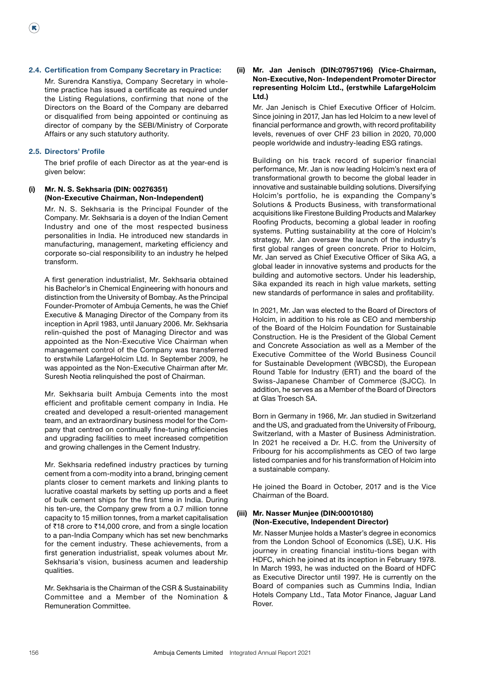## 2.4. Certification from Company Secretary in Practice:

 Mr. Surendra Kanstiya, Company Secretary in wholetime practice has issued a certificate as required under the Listing Regulations, confirming that none of the Directors on the Board of the Company are debarred or disqualified from being appointed or continuing as director of company by the SEBI/Ministry of Corporate Affairs or any such statutory authority.

#### 2.5. Directors' Profile

 $(\mathbf{R})$ 

 The brief profile of each Director as at the year-end is given below:

## (i) Mr. N. S. Sekhsaria (DIN: 00276351) (Non-Executive Chairman, Non-Independent)

 Mr. N. S. Sekhsaria is the Principal Founder of the Company. Mr. Sekhsaria is a doyen of the Indian Cement Industry and one of the most respected business personalities in India. He introduced new standards in manufacturing, management, marketing efficiency and corporate so-cial responsibility to an industry he helped transform.

 A first generation industrialist, Mr. Sekhsaria obtained his Bachelor's in Chemical Engineering with honours and distinction from the University of Bombay. As the Principal Founder-Promoter of Ambuja Cements, he was the Chief Executive & Managing Director of the Company from its inception in April 1983, until January 2006. Mr. Sekhsaria relin-quished the post of Managing Director and was appointed as the Non-Executive Vice Chairman when management control of the Company was transferred to erstwhile LafargeHolcim Ltd. In September 2009, he was appointed as the Non-Executive Chairman after Mr. Suresh Neotia relinquished the post of Chairman.

 Mr. Sekhsaria built Ambuja Cements into the most efficient and profitable cement company in India. He created and developed a result-oriented management team, and an extraordinary business model for the Company that centred on continually fine-tuning efficiencies and upgrading facilities to meet increased competition and growing challenges in the Cement Industry.

 Mr. Sekhsaria redefined industry practices by turning cement from a com-modity into a brand, bringing cement plants closer to cement markets and linking plants to lucrative coastal markets by setting up ports and a fleet of bulk cement ships for the first time in India. During his ten-ure, the Company grew from a 0.7 million tonne capacity to 15 million tonnes, from a market capitalisation of ₹18 crore to ₹14,000 crore, and from a single location to a pan-India Company which has set new benchmarks for the cement industry. These achievements, from a first generation industrialist, speak volumes about Mr. Sekhsaria's vision, business acumen and leadership qualities.

 Mr. Sekhsaria is the Chairman of the CSR & Sustainability Committee and a Member of the Nomination & Remuneration Committee.

## (ii) Mr. Jan Jenisch (DIN:07957196) (Vice-Chairman, Non-Executive, Non- Independent Promoter Director representing Holcim Ltd., (erstwhile LafargeHolcim Ltd.)

 Mr. Jan Jenisch is Chief Executive Officer of Holcim. Since joining in 2017, Jan has led Holcim to a new level of financial performance and growth, with record profitability levels, revenues of over CHF 23 billion in 2020, 70,000 people worldwide and industry-leading ESG ratings.

 Building on his track record of superior financial performance, Mr. Jan is now leading Holcim's next era of transformational growth to become the global leader in innovative and sustainable building solutions. Diversifying Holcim's portfolio, he is expanding the Company's Solutions & Products Business, with transformational acquisitions like Firestone Building Products and Malarkey Roofing Products, becoming a global leader in roofing systems. Putting sustainability at the core of Holcim's strategy, Mr. Jan oversaw the launch of the industry's first global ranges of green concrete. Prior to Holcim, Mr. Jan served as Chief Executive Officer of Sika AG, a global leader in innovative systems and products for the building and automotive sectors. Under his leadership, Sika expanded its reach in high value markets, setting new standards of performance in sales and profitability.

 In 2021, Mr. Jan was elected to the Board of Directors of Holcim, in addition to his role as CEO and membership of the Board of the Holcim Foundation for Sustainable Construction. He is the President of the Global Cement and Concrete Association as well as a Member of the Executive Committee of the World Business Council for Sustainable Development (WBCSD), the European Round Table for Industry (ERT) and the board of the Swiss-Japanese Chamber of Commerce (SJCC). In addition, he serves as a Member of the Board of Directors at Glas Troesch SA.

 Born in Germany in 1966, Mr. Jan studied in Switzerland and the US, and graduated from the University of Fribourg, Switzerland, with a Master of Business Administration. In 2021 he received a Dr. H.C. from the University of Fribourg for his accomplishments as CEO of two large listed companies and for his transformation of Holcim into a sustainable company.

 He joined the Board in October, 2017 and is the Vice Chairman of the Board.

## (iii) Mr. Nasser Munjee (DIN:00010180) (Non-Executive, Independent Director)

 Mr. Nasser Munjee holds a Master's degree in economics from the London School of Economics (LSE), U.K. His journey in creating financial institu-tions began with HDFC, which he joined at its inception in February 1978. In March 1993, he was inducted on the Board of HDFC as Executive Director until 1997. He is currently on the Board of companies such as Cummins India, Indian Hotels Company Ltd., Tata Motor Finance, Jaguar Land Rover.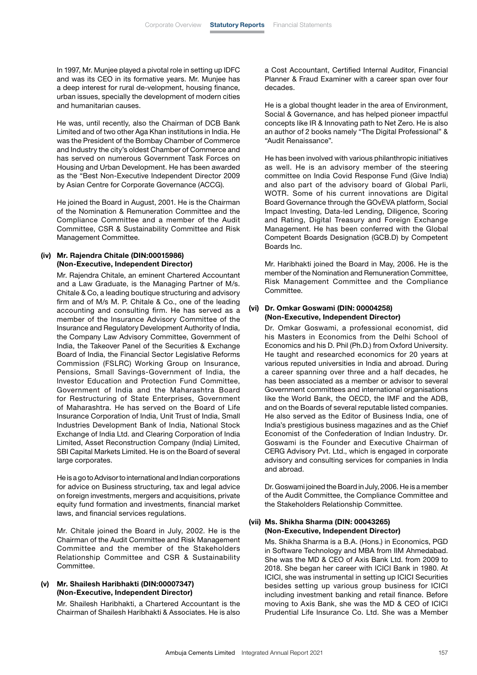In 1997, Mr. Munjee played a pivotal role in setting up IDFC and was its CEO in its formative years. Mr. Munjee has a deep interest for rural de-velopment, housing finance, urban issues, specially the development of modern cities and humanitarian causes.

 He was, until recently, also the Chairman of DCB Bank Limited and of two other Aga Khan institutions in India. He was the President of the Bombay Chamber of Commerce and Industry the city's oldest Chamber of Commerce and has served on numerous Government Task Forces on Housing and Urban Development. He has been awarded as the "Best Non-Executive Independent Director 2009 by Asian Centre for Corporate Governance (ACCG).

 He joined the Board in August, 2001. He is the Chairman of the Nomination & Remuneration Committee and the Compliance Committee and a member of the Audit Committee, CSR & Sustainability Committee and Risk Management Committee.

## (iv) Mr. Rajendra Chitale (DIN:00015986) (Non-Executive, Independent Director)

 Mr. Rajendra Chitale, an eminent Chartered Accountant and a Law Graduate, is the Managing Partner of M/s. Chitale & Co, a leading boutique structuring and advisory firm and of M/s M. P. Chitale & Co., one of the leading accounting and consulting firm. He has served as a member of the Insurance Advisory Committee of the Insurance and Regulatory Development Authority of India, the Company Law Advisory Committee, Government of India, the Takeover Panel of the Securities & Exchange Board of India, the Financial Sector Legislative Reforms Commission (FSLRC) Working Group on Insurance, Pensions, Small Savings-Government of India, the Investor Education and Protection Fund Committee, Government of India and the Maharashtra Board for Restructuring of State Enterprises, Government of Maharashtra. He has served on the Board of Life Insurance Corporation of India, Unit Trust of India, Small Industries Development Bank of India, National Stock Exchange of India Ltd. and Clearing Corporation of India Limited, Asset Reconstruction Company (India) Limited, SBI Capital Markets Limited. He is on the Board of several large corporates.

 He is a go to Advisor to international and Indian corporations for advice on Business structuring, tax and legal advice on foreign investments, mergers and acquisitions, private equity fund formation and investments, financial market laws, and financial services regulations.

 Mr. Chitale joined the Board in July, 2002. He is the Chairman of the Audit Committee and Risk Management Committee and the member of the Stakeholders Relationship Committee and CSR & Sustainability Committee.

#### (v) Mr. Shailesh Haribhakti (DIN:00007347) (Non-Executive, Independent Director)

 Mr. Shailesh Haribhakti, a Chartered Accountant is the Chairman of Shailesh Haribhakti & Associates. He is also a Cost Accountant, Certified Internal Auditor, Financial Planner & Fraud Examiner with a career span over four decades.

 He is a global thought leader in the area of Environment, Social & Governance, and has helped pioneer impactful concepts like IR & Innovating path to Net Zero. He is also an author of 2 books namely "The Digital Professional" & "Audit Renaissance".

 He has been involved with various philanthropic initiatives as well. He is an advisory member of the steering committee on India Covid Response Fund (Give India) and also part of the advisory board of Global Parli, WOTR. Some of his current innovations are Digital Board Governance through the GOvEVA platform, Social Impact Investing, Data-led Lending, Diligence, Scoring and Rating, Digital Treasury and Foreign Exchange Management. He has been conferred with the Global Competent Boards Designation (GCB.D) by Competent Boards Inc.

 Mr. Haribhakti joined the Board in May, 2006. He is the member of the Nomination and Remuneration Committee, Risk Management Committee and the Compliance Committee.

## (vi) Dr. Omkar Goswami (DIN: 00004258) (Non-Executive, Independent Director)

 Dr. Omkar Goswami, a professional economist, did his Masters in Economics from the Delhi School of Economics and his D. Phil (Ph.D.) from Oxford University. He taught and researched economics for 20 years at various reputed universities in India and abroad. During a career spanning over three and a half decades, he has been associated as a member or advisor to several Government committees and international organisations like the World Bank, the OECD, the IMF and the ADB, and on the Boards of several reputable listed companies. He also served as the Editor of Business India, one of India's prestigious business magazines and as the Chief Economist of the Confederation of Indian Industry. Dr. Goswami is the Founder and Executive Chairman of CERG Advisory Pvt. Ltd., which is engaged in corporate advisory and consulting services for companies in India and abroad.

 Dr. Goswami joined the Board in July, 2006. He is a member of the Audit Committee, the Compliance Committee and the Stakeholders Relationship Committee.

## (vii) Ms. Shikha Sharma (DIN: 00043265) (Non-Executive, Independent Director)

 Ms. Shikha Sharma is a B.A. (Hons.) in Economics, PGD in Software Technology and MBA from IIM Ahmedabad. She was the MD & CEO of Axis Bank Ltd. from 2009 to 2018. She began her career with ICICI Bank in 1980. At ICICI, she was instrumental in setting up ICICI Securities besides setting up various group business for ICICI including investment banking and retail finance. Before moving to Axis Bank, she was the MD & CEO of ICICI Prudential Life Insurance Co. Ltd. She was a Member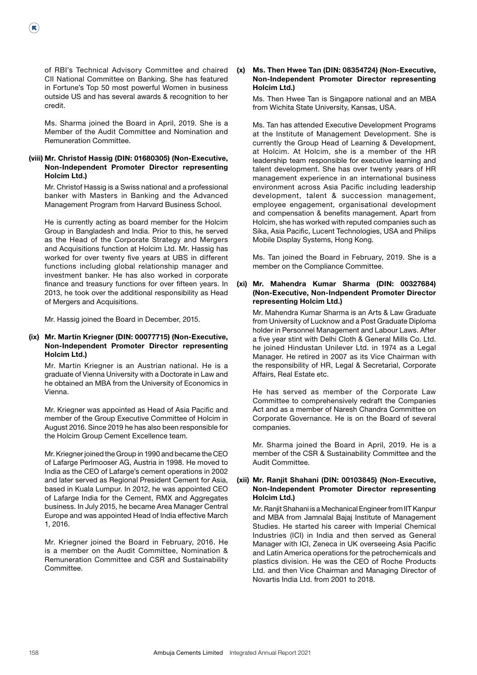of RBI's Technical Advisory Committee and chaired CII National Committee on Banking. She has featured in Fortune's Top 50 most powerful Women in business outside US and has several awards & recognition to her credit.

 $(\mathbf{R})$ 

 Ms. Sharma joined the Board in April, 2019. She is a Member of the Audit Committee and Nomination and Remuneration Committee.

## (viii) Mr. Christof Hassig (DIN: 01680305) (Non-Executive, Non-Independent Promoter Director representing Holcim Ltd.)

 Mr. Christof Hassig is a Swiss national and a professional banker with Masters in Banking and the Advanced Management Program from Harvard Business School.

 He is currently acting as board member for the Holcim Group in Bangladesh and India. Prior to this, he served as the Head of the Corporate Strategy and Mergers and Acquisitions function at Holcim Ltd. Mr. Hassig has worked for over twenty five years at UBS in different functions including global relationship manager and investment banker. He has also worked in corporate finance and treasury functions for over fifteen years. In 2013, he took over the additional responsibility as Head of Mergers and Acquisitions.

Mr. Hassig joined the Board in December, 2015.

## (ix) Mr. Martin Kriegner (DIN: 00077715) (Non-Executive, Non-Independent Promoter Director representing Holcim Ltd.)

 Mr. Martin Kriegner is an Austrian national. He is a graduate of Vienna University with a Doctorate in Law and he obtained an MBA from the University of Economics in Vienna.

 Mr. Kriegner was appointed as Head of Asia Pacific and member of the Group Executive Committee of Holcim in August 2016. Since 2019 he has also been responsible for the Holcim Group Cement Excellence team.

 Mr. Kriegner joined the Group in 1990 and became the CEO of Lafarge Perlmooser AG, Austria in 1998. He moved to India as the CEO of Lafarge's cement operations in 2002 and later served as Regional President Cement for Asia, based in Kuala Lumpur. In 2012, he was appointed CEO of Lafarge India for the Cement, RMX and Aggregates business. In July 2015, he became Area Manager Central Europe and was appointed Head of India effective March 1, 2016.

 Mr. Kriegner joined the Board in February, 2016. He is a member on the Audit Committee, Nomination & Remuneration Committee and CSR and Sustainability Committee.

#### (x) Ms. Then Hwee Tan (DIN: 08354724) (Non-Executive, Non-Independent Promoter Director representing Holcim Ltd.)

 Ms. Then Hwee Tan is Singapore national and an MBA from Wichita State University, Kansas, USA.

 Ms. Tan has attended Executive Development Programs at the Institute of Management Development. She is currently the Group Head of Learning & Development, at Holcim. At Holcim, she is a member of the HR leadership team responsible for executive learning and talent development. She has over twenty years of HR management experience in an international business environment across Asia Pacific including leadership development, talent & succession management, employee engagement, organisational development and compensation & benefits management. Apart from Holcim, she has worked with reputed companies such as Sika, Asia Pacific, Lucent Technologies, USA and Philips Mobile Display Systems, Hong Kong.

 Ms. Tan joined the Board in February, 2019. She is a member on the Compliance Committee.

## (xi) Mr. Mahendra Kumar Sharma (DIN: 00327684) (Non-Executive, Non-Indpendent Promoter Director representing Holcim Ltd.)

 Mr. Mahendra Kumar Sharma is an Arts & Law Graduate from University of Lucknow and a Post Graduate Diploma holder in Personnel Management and Labour Laws. After a five year stint with Delhi Cloth & General Mills Co. Ltd. he joined Hindustan Unilever Ltd. in 1974 as a Legal Manager. He retired in 2007 as its Vice Chairman with the responsibility of HR, Legal & Secretarial, Corporate Affairs, Real Estate etc.

 He has served as member of the Corporate Law Committee to comprehensively redraft the Companies Act and as a member of Naresh Chandra Committee on Corporate Governance. He is on the Board of several companies.

 Mr. Sharma joined the Board in April, 2019. He is a member of the CSR & Sustainability Committee and the Audit Committee.

## (xii) Mr. Ranjit Shahani (DIN: 00103845) (Non-Executive, Non-Independent Promoter Director representing Holcim Ltd.)

 Mr. Ranjit Shahani is a Mechanical Engineer from IIT Kanpur and MBA from Jamnalal Bajaj Institute of Management Studies. He started his career with Imperial Chemical Industries (ICI) in India and then served as General Manager with ICI, Zeneca in UK overseeing Asia Pacific and Latin America operations for the petrochemicals and plastics division. He was the CEO of Roche Products Ltd. and then Vice Chairman and Managing Director of Novartis India Ltd. from 2001 to 2018.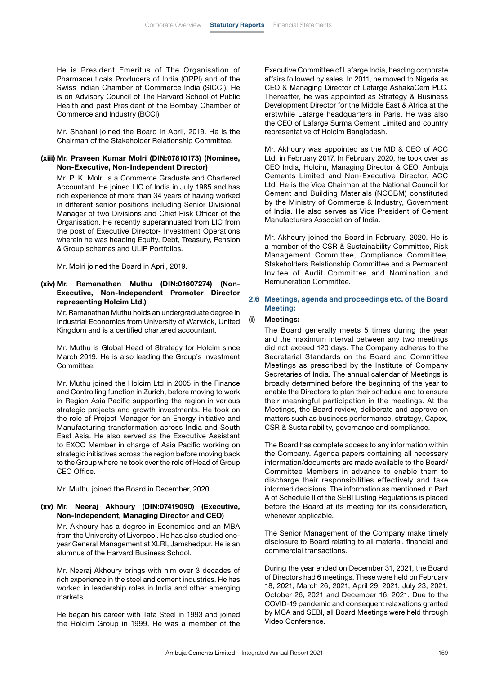He is President Emeritus of The Organisation of Pharmaceuticals Producers of India (OPPI) and of the Swiss Indian Chamber of Commerce India (SICCI). He is on Advisory Council of The Harvard School of Public Health and past President of the Bombay Chamber of Commerce and Industry (BCCI).

 Mr. Shahani joined the Board in April, 2019. He is the Chairman of the Stakeholder Relationship Committee.

#### (xiii) Mr. Praveen Kumar Molri (DIN:07810173) (Nominee, Non-Executive, Non-Independent Director)

 Mr. P. K. Molri is a Commerce Graduate and Chartered Accountant. He joined LIC of India in July 1985 and has rich experience of more than 34 years of having worked in different senior positions including Senior Divisional Manager of two Divisions and Chief Risk Officer of the Organisation. He recently superannuated from LIC from the post of Executive Director- Investment Operations wherein he was heading Equity, Debt, Treasury, Pension & Group schemes and ULIP Portfolios.

Mr. Molri joined the Board in April, 2019.

## (xiv) Mr. Ramanathan Muthu (DIN:01607274) (Non-Executive, Non-Independent Promoter Director representing Holcim Ltd.)

 Mr. Ramanathan Muthu holds an undergraduate degree in Industrial Economics from University of Warwick, United Kingdom and is a certified chartered accountant.

 Mr. Muthu is Global Head of Strategy for Holcim since March 2019. He is also leading the Group's Investment Committee.

 Mr. Muthu joined the Holcim Ltd in 2005 in the Finance and Controlling function in Zurich, before moving to work in Region Asia Pacific supporting the region in various strategic projects and growth investments. He took on the role of Project Manager for an Energy initiative and Manufacturing transformation across India and South East Asia. He also served as the Executive Assistant to EXCO Member in charge of Asia Pacific working on strategic initiatives across the region before moving back to the Group where he took over the role of Head of Group CEO Office.

Mr. Muthu joined the Board in December, 2020.

## (xv) Mr. Neeraj Akhoury (DIN:07419090) (Executive, Non-Independent, Managing Director and CEO)

 Mr. Akhoury has a degree in Economics and an MBA from the University of Liverpool. He has also studied oneyear General Management at XLRI, Jamshedpur. He is an alumnus of the Harvard Business School.

 Mr. Neeraj Akhoury brings with him over 3 decades of rich experience in the steel and cement industries. He has worked in leadership roles in India and other emerging markets.

 He began his career with Tata Steel in 1993 and joined the Holcim Group in 1999. He was a member of the

Executive Committee of Lafarge India, heading corporate affairs followed by sales. In 2011, he moved to Nigeria as CEO & Managing Director of Lafarge AshakaCem PLC. Thereafter, he was appointed as Strategy & Business Development Director for the Middle East & Africa at the erstwhile Lafarge headquarters in Paris. He was also the CEO of Lafarge Surma Cement Limited and country representative of Holcim Bangladesh.

 Mr. Akhoury was appointed as the MD & CEO of ACC Ltd. in February 2017. In February 2020, he took over as CEO India, Holcim, Managing Director & CEO, Ambuja Cements Limited and Non-Executive Director, ACC Ltd. He is the Vice Chairman at the National Council for Cement and Building Materials (NCCBM) constituted by the Ministry of Commerce & Industry, Government of India. He also serves as Vice President of Cement Manufacturers Association of India.

 Mr. Akhoury joined the Board in February, 2020. He is a member of the CSR & Sustainability Committee, Risk Management Committee, Compliance Committee, Stakeholders Relationship Committee and a Permanent Invitee of Audit Committee and Nomination and Remuneration Committee.

## 2.6 Meetings, agenda and proceedings etc. of the Board Meeting:

## (i) Meetings:

 The Board generally meets 5 times during the year and the maximum interval between any two meetings did not exceed 120 days. The Company adheres to the Secretarial Standards on the Board and Committee Meetings as prescribed by the Institute of Company Secretaries of India. The annual calendar of Meetings is broadly determined before the beginning of the year to enable the Directors to plan their schedule and to ensure their meaningful participation in the meetings. At the Meetings, the Board review, deliberate and approve on matters such as business performance, strategy, Capex, CSR & Sustainability, governance and compliance.

 The Board has complete access to any information within the Company. Agenda papers containing all necessary information/documents are made available to the Board/ Committee Members in advance to enable them to discharge their responsibilities effectively and take informed decisions. The information as mentioned in Part A of Schedule II of the SEBI Listing Regulations is placed before the Board at its meeting for its consideration, whenever applicable.

 The Senior Management of the Company make timely disclosure to Board relating to all material, financial and commercial transactions.

 During the year ended on December 31, 2021, the Board of Directors had 6 meetings. These were held on February 18, 2021, March 26, 2021, April 29, 2021, July 23, 2021, October 26, 2021 and December 16, 2021. Due to the COVID-19 pandemic and consequent relaxations granted by MCA and SEBI, all Board Meetings were held through Video Conference.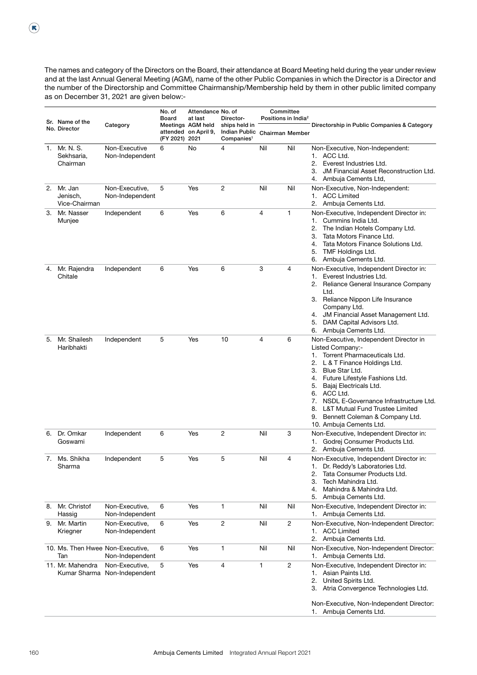The names and category of the Directors on the Board, their attendance at Board Meeting held during the year under review and at the last Annual General Meeting (AGM), name of the other Public Companies in which the Director is a Director and the number of the Directorship and Committee Chairmanship/Membership held by them in other public limited company as on December 31, 2021 are given below:-

|    | Sr. Name of the                         | Category                                       | No. of<br><b>Board</b> | Attendance No. of<br>at last<br>Meetings AGM held | Director-<br>ships held in                     | Committee<br>Positions in India <sup>2</sup> |                | Directorship in Public Companies & Category                                                                                                                                                                                                                                                                                                                                                                                   |
|----|-----------------------------------------|------------------------------------------------|------------------------|---------------------------------------------------|------------------------------------------------|----------------------------------------------|----------------|-------------------------------------------------------------------------------------------------------------------------------------------------------------------------------------------------------------------------------------------------------------------------------------------------------------------------------------------------------------------------------------------------------------------------------|
|    | No. Director                            |                                                | (FY 2021) 2021         | attended on April 9,                              | <b>Indian Public</b><br>Companies <sup>1</sup> | <b>Chairman Member</b>                       |                |                                                                                                                                                                                                                                                                                                                                                                                                                               |
| 1. | Mr. N. S.<br>Sekhsaria,<br>Chairman     | Non-Executive<br>Non-Independent               | 6                      | No                                                | 4                                              | Nil                                          | Nil            | Non-Executive, Non-Independent:<br>1. ACC Ltd.<br>2.<br>Everest Industries Ltd.<br>3.<br><b>JM Financial Asset Reconstruction Ltd.</b><br>Ambuja Cements Ltd,<br>4.                                                                                                                                                                                                                                                           |
| 2. | Mr. Jan<br>Jenisch,<br>Vice-Chairman    | Non-Executive,<br>Non-Independent              | 5                      | Yes                                               | 2                                              | Nil                                          | Nil            | Non-Executive, Non-Independent:<br>1. ACC Limited<br>2. Ambuja Cements Ltd.                                                                                                                                                                                                                                                                                                                                                   |
| 3. | Mr. Nasser<br>Munjee                    | Independent                                    | 6                      | Yes                                               | 6                                              | 4                                            | 1              | Non-Executive, Independent Director in:<br>Cummins India Ltd.<br>1.<br>2.<br>The Indian Hotels Company Ltd.<br>3.<br>Tata Motors Finance Ltd.<br>Tata Motors Finance Solutions Ltd.<br>4.<br>TMF Holdings Ltd.<br>5.<br>Ambuja Cements Ltd.<br>6.                                                                                                                                                                             |
| 4. | Mr. Rajendra<br>Chitale                 | Independent                                    | 6                      | Yes                                               | 6                                              | 3                                            | 4              | Non-Executive, Independent Director in:<br>Everest Industries Ltd.<br>1.<br>2.<br>Reliance General Insurance Company<br>Ltd.<br>3. Reliance Nippon Life Insurance<br>Company Ltd.<br>4. JM Financial Asset Management Ltd.<br>DAM Capital Advisors Ltd.<br>5.<br>Ambuja Cements Ltd.<br>6.                                                                                                                                    |
| 5. | Mr. Shailesh<br>Haribhakti              | Independent                                    | 5                      | Yes                                               | 10                                             | $\overline{4}$                               | 6              | Non-Executive, Independent Director in<br>Listed Company:-<br>Torrent Pharmaceuticals Ltd.<br>1.<br>L & T Finance Holdings Ltd.<br>2.<br>Blue Star Ltd.<br>3.<br>Future Lifestyle Fashions Ltd.<br>4.<br>Bajaj Electricals Ltd.<br>5.<br>ACC Ltd.<br>6.<br>NSDL E-Governance Infrastructure Ltd.<br>7.<br><b>L&amp;T Mutual Fund Trustee Limited</b><br>8.<br>Bennett Coleman & Company Ltd.<br>9.<br>10. Ambuja Cements Ltd. |
|    | 6. Dr. Omkar<br>Goswami                 | Independent                                    | 6                      | Yes                                               | 2                                              | Nil                                          | 3              | Non-Executive, Independent Director in:<br>Godrej Consumer Products Ltd.<br>1.<br>2. Ambuja Cements Ltd.                                                                                                                                                                                                                                                                                                                      |
| 7. | Ms. Shikha<br>Sharma                    | Independent                                    | 5                      | Yes                                               | 5                                              | Nil                                          | 4              | Non-Executive, Independent Director in:<br>Dr. Reddy's Laboratories Ltd.<br>1.<br>Tata Consumer Products Ltd.<br>2.<br>Tech Mahindra Ltd.<br>3.<br>Mahindra & Mahindra Ltd.<br>4.<br>Ambuja Cements Ltd.<br>5.                                                                                                                                                                                                                |
| 8. | Mr. Christof<br>Hassig                  | Non-Executive,<br>Non-Independent              | 6                      | Yes                                               | 1                                              | Nil                                          | Nil            | Non-Executive, Independent Director in:<br>1. Ambuja Cements Ltd.                                                                                                                                                                                                                                                                                                                                                             |
| 9. | Mr. Martin<br>Kriegner                  | Non-Executive.<br>Non-Independent              | 6                      | Yes                                               | 2                                              | Nil                                          | 2              | Non-Executive, Non-Independent Director:<br>1. ACC Limited<br>Ambuja Cements Ltd.<br>2.                                                                                                                                                                                                                                                                                                                                       |
|    | 10. Ms. Then Hwee Non-Executive,<br>Tan | Non-Independent                                | 6                      | Yes                                               | 1                                              | Nil                                          | Nil            | Non-Executive, Non-Independent Director:<br>1. Ambuja Cements Ltd.                                                                                                                                                                                                                                                                                                                                                            |
|    | 11. Mr. Mahendra                        | Non-Executive,<br>Kumar Sharma Non-Independent | 5                      | Yes                                               | 4                                              | 1                                            | $\overline{c}$ | Non-Executive, Independent Director in:<br>Asian Paints Ltd.<br>1.<br>2.<br>United Spirits Ltd.<br>3. Atria Convergence Technologies Ltd.<br>Non-Executive, Non-Independent Director:<br>1. Ambuja Cements Ltd.                                                                                                                                                                                                               |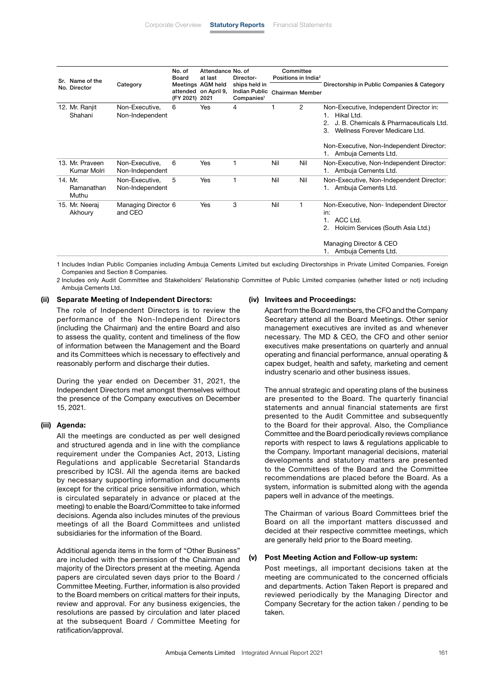| Sr. Name of the                |                                   | No. of<br>Board<br>Meetings AGM held<br>(FY 2021) 2021 | Attendance No. of<br>at last | Director-                                                       | Committee<br>Positions in India <sup>2</sup> |     |                                                                                                                                                                                                                     |
|--------------------------------|-----------------------------------|--------------------------------------------------------|------------------------------|-----------------------------------------------------------------|----------------------------------------------|-----|---------------------------------------------------------------------------------------------------------------------------------------------------------------------------------------------------------------------|
| No. Director                   | Category                          |                                                        | attended on April 9,         | ships held in<br><b>Indian Public</b><br>Companies <sup>1</sup> | <b>Chairman Member</b>                       |     | Directorship in Public Companies & Category                                                                                                                                                                         |
| 12. Mr. Ranjit<br>Shahani      | Non-Executive,<br>Non-Independent | 6                                                      | Yes                          | 4                                                               |                                              | 2   | Non-Executive, Independent Director in:<br>Hikal Ltd.<br>1.<br>J. B. Chemicals & Pharmaceuticals Ltd.<br>Wellness Forever Medicare Ltd.<br>3.<br>Non-Executive, Non-Independent Director:<br>1. Ambuja Cements Ltd. |
| 13. Mr. Praveen<br>Kumar Molri | Non-Executive,<br>Non-Independent | 6                                                      | Yes                          |                                                                 | Nil                                          | Nil | Non-Executive, Non-Independent Director:<br>1. Ambuja Cements Ltd.                                                                                                                                                  |
| 14. Mr.<br>Ramanathan<br>Muthu | Non-Executive,<br>Non-Independent | 5                                                      | Yes                          |                                                                 | Nil                                          | Nil | Non-Executive, Non-Independent Director:<br>1. Ambuja Cements Ltd.                                                                                                                                                  |
| 15. Mr. Neeraj<br>Akhoury      | Managing Director 6<br>and CEO    |                                                        | Yes                          | 3                                                               | Nil                                          | 1   | Non-Executive, Non-Independent Director<br>in:<br>ACC Ltd.<br>Holcim Services (South Asia Ltd.)<br>Managing Director & CEO<br>1. Ambuja Cements Ltd.                                                                |

1 Includes Indian Public Companies including Ambuja Cements Limited but excluding Directorships in Private Limited Companies, Foreign Companies and Section 8 Companies.

2 Includes only Audit Committee and Stakeholders' Relationship Committee of Public Limited companies (whether listed or not) including Ambuja Cements Ltd.

#### (ii) Separate Meeting of Independent Directors:

 The role of Independent Directors is to review the performance of the Non-Independent Directors (including the Chairman) and the entire Board and also to assess the quality, content and timeliness of the flow of information between the Management and the Board and its Committees which is necessary to effectively and reasonably perform and discharge their duties.

 During the year ended on December 31, 2021, the Independent Directors met amongst themselves without the presence of the Company executives on December 15, 2021.

#### (iii) Agenda:

 All the meetings are conducted as per well designed and structured agenda and in line with the compliance requirement under the Companies Act, 2013, Listing Regulations and applicable Secretarial Standards prescribed by ICSI. All the agenda items are backed by necessary supporting information and documents (except for the critical price sensitive information, which is circulated separately in advance or placed at the meeting) to enable the Board/Committee to take informed decisions. Agenda also includes minutes of the previous meetings of all the Board Committees and unlisted subsidiaries for the information of the Board.

 Additional agenda items in the form of "Other Business" are included with the permission of the Chairman and majority of the Directors present at the meeting. Agenda papers are circulated seven days prior to the Board / Committee Meeting. Further, information is also provided to the Board members on critical matters for their inputs, review and approval. For any business exigencies, the resolutions are passed by circulation and later placed at the subsequent Board / Committee Meeting for ratification/approval.

#### (iv) Invitees and Proceedings:

 Apart from the Board members, the CFO and the Company Secretary attend all the Board Meetings. Other senior management executives are invited as and whenever necessary. The MD & CEO, the CFO and other senior executives make presentations on quarterly and annual operating and financial performance, annual operating & capex budget, health and safety, marketing and cement industry scenario and other business issues.

 The annual strategic and operating plans of the business are presented to the Board. The quarterly financial statements and annual financial statements are first presented to the Audit Committee and subsequently to the Board for their approval. Also, the Compliance Committee and the Board periodically reviews compliance reports with respect to laws & regulations applicable to the Company. Important managerial decisions, material developments and statutory matters are presented to the Committees of the Board and the Committee recommendations are placed before the Board. As a system, information is submitted along with the agenda papers well in advance of the meetings.

 The Chairman of various Board Committees brief the Board on all the important matters discussed and decided at their respective committee meetings, which are generally held prior to the Board meeting.

### (v) Post Meeting Action and Follow-up system:

 Post meetings, all important decisions taken at the meeting are communicated to the concerned officials and departments. Action Taken Report is prepared and reviewed periodically by the Managing Director and Company Secretary for the action taken / pending to be taken.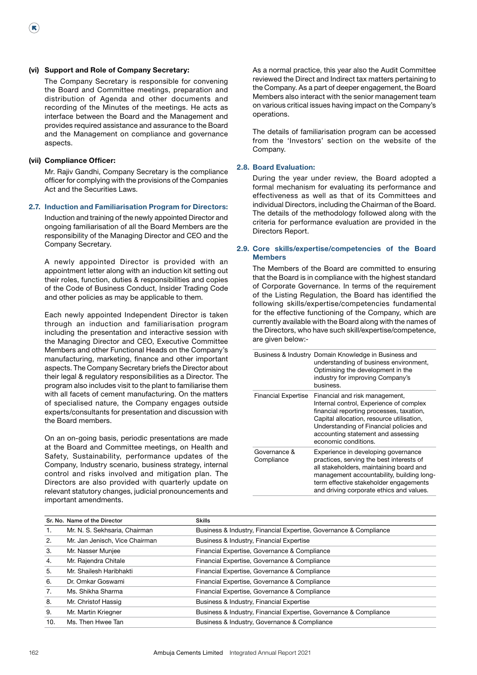### (vi) Support and Role of Company Secretary:

 The Company Secretary is responsible for convening the Board and Committee meetings, preparation and distribution of Agenda and other documents and recording of the Minutes of the meetings. He acts as interface between the Board and the Management and provides required assistance and assurance to the Board and the Management on compliance and governance aspects.

#### (vii) Compliance Officer:

 $(\mathbf{R})$ 

 Mr. Rajiv Gandhi, Company Secretary is the compliance officer for complying with the provisions of the Companies Act and the Securities Laws.

#### 2.7. Induction and Familiarisation Program for Directors:

 Induction and training of the newly appointed Director and ongoing familiarisation of all the Board Members are the responsibility of the Managing Director and CEO and the Company Secretary.

 A newly appointed Director is provided with an appointment letter along with an induction kit setting out their roles, function, duties & responsibilities and copies of the Code of Business Conduct, Insider Trading Code and other policies as may be applicable to them.

 Each newly appointed Independent Director is taken through an induction and familiarisation program including the presentation and interactive session with the Managing Director and CEO, Executive Committee Members and other Functional Heads on the Company's manufacturing, marketing, finance and other important aspects. The Company Secretary briefs the Director about their legal & regulatory responsibilities as a Director. The program also includes visit to the plant to familiarise them with all facets of cement manufacturing. On the matters of specialised nature, the Company engages outside experts/consultants for presentation and discussion with the Board members.

 On an on-going basis, periodic presentations are made at the Board and Committee meetings, on Health and Safety, Sustainability, performance updates of the Company, Industry scenario, business strategy, internal control and risks involved and mitigation plan. The Directors are also provided with quarterly update on relevant statutory changes, judicial pronouncements and important amendments.

 As a normal practice, this year also the Audit Committee reviewed the Direct and Indirect tax matters pertaining to the Company. As a part of deeper engagement, the Board Members also interact with the senior management team on various critical issues having impact on the Company's operations.

 The details of familiarisation program can be accessed from the 'Investors' section on the website of the Company.

#### 2.8. Board Evaluation:

 During the year under review, the Board adopted a formal mechanism for evaluating its performance and effectiveness as well as that of its Committees and individual Directors, including the Chairman of the Board. The details of the methodology followed along with the criteria for performance evaluation are provided in the Directors Report.

## 2.9. Core skills/expertise/competencies of the Board Members

 The Members of the Board are committed to ensuring that the Board is in compliance with the highest standard of Corporate Governance. In terms of the requirement of the Listing Regulation, the Board has identified the following skills/expertise/competencies fundamental for the effective functioning of the Company, which are currently available with the Board along with the names of the Directors, who have such skill/expertise/competence, are given below:-

|                            | Business & Industry Domain Knowledge in Business and<br>understanding of business environment,<br>Optimising the development in the<br>industry for improving Company's<br>business.                                                                                        |
|----------------------------|-----------------------------------------------------------------------------------------------------------------------------------------------------------------------------------------------------------------------------------------------------------------------------|
| <b>Financial Expertise</b> | Financial and risk management,<br>Internal control, Experience of complex<br>financial reporting processes, taxation,<br>Capital allocation, resource utilisation,<br>Understanding of Financial policies and<br>accounting statement and assessing<br>economic conditions. |
| Governance &<br>Compliance | Experience in developing governance<br>practices, serving the best interests of<br>all stakeholders, maintaining board and<br>management accountability, building long-<br>term effective stakeholder engagements<br>and driving corporate ethics and values.               |

|     | Sr. No. Name of the Director   | <b>Skills</b>                                                     |
|-----|--------------------------------|-------------------------------------------------------------------|
| -1. | Mr. N. S. Sekhsaria, Chairman  | Business & Industry, Financial Expertise, Governance & Compliance |
| 2.  | Mr. Jan Jenisch, Vice Chairman | Business & Industry, Financial Expertise                          |
| 3.  | Mr. Nasser Munjee              | Financial Expertise, Governance & Compliance                      |
| 4.  | Mr. Rajendra Chitale           | Financial Expertise, Governance & Compliance                      |
| 5.  | Mr. Shailesh Haribhakti        | Financial Expertise, Governance & Compliance                      |
| 6.  | Dr. Omkar Goswami              | Financial Expertise, Governance & Compliance                      |
| 7.  | Ms. Shikha Sharma              | Financial Expertise, Governance & Compliance                      |
| 8.  | Mr. Christof Hassig            | Business & Industry, Financial Expertise                          |
| 9.  | Mr. Martin Kriegner            | Business & Industry, Financial Expertise, Governance & Compliance |
| 10. | Ms. Then Hwee Tan              | Business & Industry, Governance & Compliance                      |
|     |                                |                                                                   |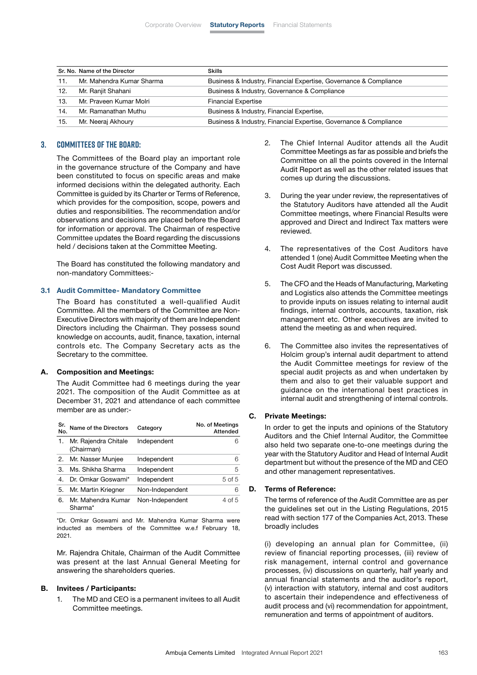|     | Sr. No. Name of the Director | <b>Skills</b>                                                     |
|-----|------------------------------|-------------------------------------------------------------------|
| 11. | Mr. Mahendra Kumar Sharma    | Business & Industry, Financial Expertise, Governance & Compliance |
| 12. | Mr. Ranjit Shahani           | Business & Industry, Governance & Compliance                      |
| 13. | Mr. Praveen Kumar Molri      | <b>Financial Expertise</b>                                        |
| 14. | Mr. Ramanathan Muthu         | Business & Industry, Financial Expertise,                         |
| 15. | Mr. Neeraj Akhoury           | Business & Industry, Financial Expertise, Governance & Compliance |

## **3. Committees of the Board:**

 The Committees of the Board play an important role in the governance structure of the Company and have been constituted to focus on specific areas and make informed decisions within the delegated authority. Each Committee is guided by its Charter or Terms of Reference, which provides for the composition, scope, powers and duties and responsibilities. The recommendation and/or observations and decisions are placed before the Board for information or approval. The Chairman of respective Committee updates the Board regarding the discussions held / decisions taken at the Committee Meeting.

 The Board has constituted the following mandatory and non-mandatory Committees:-

## 3.1 Audit Committee- Mandatory Committee

 The Board has constituted a well-qualified Audit Committee. All the members of the Committee are Non-Executive Directors with majority of them are Independent Directors including the Chairman. They possess sound knowledge on accounts, audit, finance, taxation, internal controls etc. The Company Secretary acts as the Secretary to the committee.

#### A. Composition and Meetings:

 The Audit Committee had 6 meetings during the year 2021. The composition of the Audit Committee as at December 31, 2021 and attendance of each committee member are as under:-

| Sr.<br>No. | Name of the Directors              | Category        | No. of Meetings<br>Attended |
|------------|------------------------------------|-----------------|-----------------------------|
| 1.         | Mr. Rajendra Chitale<br>(Chairman) | Independent     | 6                           |
| 2.         | Mr. Nasser Munjee                  | Independent     | 6                           |
| З.         | Ms. Shikha Sharma                  | Independent     | 5                           |
|            | Dr. Omkar Goswami*                 | Independent     | 5 of 5                      |
| 5.         | Mr. Martin Kriegner                | Non-Independent | 6                           |
| 6.         | Mr. Mahendra Kumar<br>Sharma*      | Non-Independent | 4 of 5                      |

 \*Dr. Omkar Goswami and Mr. Mahendra Kumar Sharma were inducted as members of the Committee w.e.f February 18, 2021.

 Mr. Rajendra Chitale, Chairman of the Audit Committee was present at the last Annual General Meeting for answering the shareholders queries.

#### B. Invitees / Participants:

1. The MD and CEO is a permanent invitees to all Audit Committee meetings.

- 2. The Chief Internal Auditor attends all the Audit Committee Meetings as far as possible and briefs the Committee on all the points covered in the Internal Audit Report as well as the other related issues that comes up during the discussions.
- 3. During the year under review, the representatives of the Statutory Auditors have attended all the Audit Committee meetings, where Financial Results were approved and Direct and Indirect Tax matters were reviewed.
- 4. The representatives of the Cost Auditors have attended 1 (one) Audit Committee Meeting when the Cost Audit Report was discussed.
- 5. The CFO and the Heads of Manufacturing, Marketing and Logistics also attends the Committee meetings to provide inputs on issues relating to internal audit findings, internal controls, accounts, taxation, risk management etc. Other executives are invited to attend the meeting as and when required.
- 6. The Committee also invites the representatives of Holcim group's internal audit department to attend the Audit Committee meetings for review of the special audit projects as and when undertaken by them and also to get their valuable support and guidance on the international best practices in internal audit and strengthening of internal controls.

#### C. Private Meetings:

 In order to get the inputs and opinions of the Statutory Auditors and the Chief Internal Auditor, the Committee also held two separate one-to-one meetings during the year with the Statutory Auditor and Head of Internal Audit department but without the presence of the MD and CEO and other management representatives.

#### D. Terms of Reference:

 The terms of reference of the Audit Committee are as per the guidelines set out in the Listing Regulations, 2015 read with section 177 of the Companies Act, 2013. These broadly includes

 (i) developing an annual plan for Committee, (ii) review of financial reporting processes, (iii) review of risk management, internal control and governance processes, (iv) discussions on quarterly, half yearly and annual financial statements and the auditor's report, (v) interaction with statutory, internal and cost auditors to ascertain their independence and effectiveness of audit process and (vi) recommendation for appointment, remuneration and terms of appointment of auditors.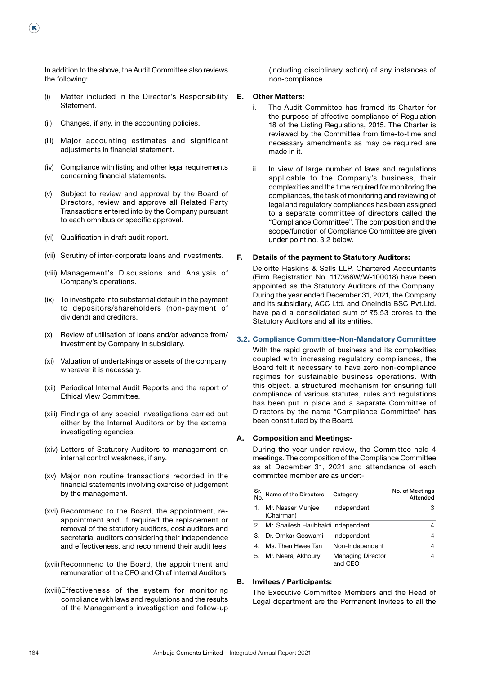In addition to the above, the Audit Committee also reviews the following:

- (i) Matter included in the Director's Responsibility Statement.
- (ii) Changes, if any, in the accounting policies.

(K)

- (iii) Major accounting estimates and significant adjustments in financial statement.
- (iv) Compliance with listing and other legal requirements concerning financial statements.
- (v) Subject to review and approval by the Board of Directors, review and approve all Related Party Transactions entered into by the Company pursuant to each omnibus or specific approval.
- (vi) Qualification in draft audit report.
- (vii) Scrutiny of inter-corporate loans and investments.
- (viii) Management's Discussions and Analysis of Company's operations.
- (ix) To investigate into substantial default in the payment to depositors/shareholders (non-payment of dividend) and creditors.
- (x) Review of utilisation of loans and/or advance from/ investment by Company in subsidiary.
- (xi) Valuation of undertakings or assets of the company, wherever it is necessary.
- (xii) Periodical Internal Audit Reports and the report of Ethical View Committee.
- (xiii) Findings of any special investigations carried out either by the Internal Auditors or by the external investigating agencies.
- (xiv) Letters of Statutory Auditors to management on internal control weakness, if any.
- (xv) Major non routine transactions recorded in the financial statements involving exercise of judgement by the management.
- (xvi) Recommend to the Board, the appointment, reappointment and, if required the replacement or removal of the statutory auditors, cost auditors and secretarial auditors considering their independence and effectiveness, and recommend their audit fees.
- (xvii) Recommend to the Board, the appointment and remuneration of the CFO and Chief Internal Auditors.
- (xviii)Effectiveness of the system for monitoring compliance with laws and regulations and the results of the Management's investigation and follow-up

(including disciplinary action) of any instances of non-compliance.

#### E. Other Matters:

- i. The Audit Committee has framed its Charter for the purpose of effective compliance of Regulation 18 of the Listing Regulations, 2015. The Charter is reviewed by the Committee from time-to-time and necessary amendments as may be required are made in it.
- ii. In view of large number of laws and regulations applicable to the Company's business, their complexities and the time required for monitoring the compliances, the task of monitoring and reviewing of legal and regulatory compliances has been assigned to a separate committee of directors called the "Compliance Committee". The composition and the scope/function of Compliance Committee are given under point no. 3.2 below.

## F. Details of the payment to Statutory Auditors:

 Deloitte Haskins & Sells LLP, Chartered Accountants (Firm Registration No. 117366W/W-100018) have been appointed as the Statutory Auditors of the Company. During the year ended December 31, 2021, the Company and its subsidiary, ACC Ltd. and OneIndia BSC Pvt.Ltd. have paid a consolidated sum of  $\bar{z}5.53$  crores to the Statutory Auditors and all its entities.

## 3.2. Compliance Committee-Non-Mandatory Committee

 With the rapid growth of business and its complexities coupled with increasing regulatory compliances, the Board felt it necessary to have zero non-compliance regimes for sustainable business operations. With this object, a structured mechanism for ensuring full compliance of various statutes, rules and regulations has been put in place and a separate Committee of Directors by the name "Compliance Committee" has been constituted by the Board.

#### A. Composition and Meetings:-

 During the year under review, the Committee held 4 meetings. The composition of the Compliance Committee as at December 31, 2021 and attendance of each committee member are as under:-

| Sr.<br>No. | Name of the Directors               | Category                            | No. of Meetings<br>Attended |
|------------|-------------------------------------|-------------------------------------|-----------------------------|
|            | Mr. Nasser Munjee<br>(Chairman)     | Independent                         | 3                           |
| 2.         | Mr. Shailesh Haribhakti Independent |                                     | 4                           |
| 3.         | Dr. Omkar Goswami                   | Independent                         | 4                           |
| 4.         | Ms. Then Hwee Tan                   | Non-Independent                     | 4                           |
| 5.         | Mr. Neeraj Akhoury                  | <b>Managing Director</b><br>and CEO | 4                           |

## B. Invitees / Participants:

 The Executive Committee Members and the Head of Legal department are the Permanent Invitees to all the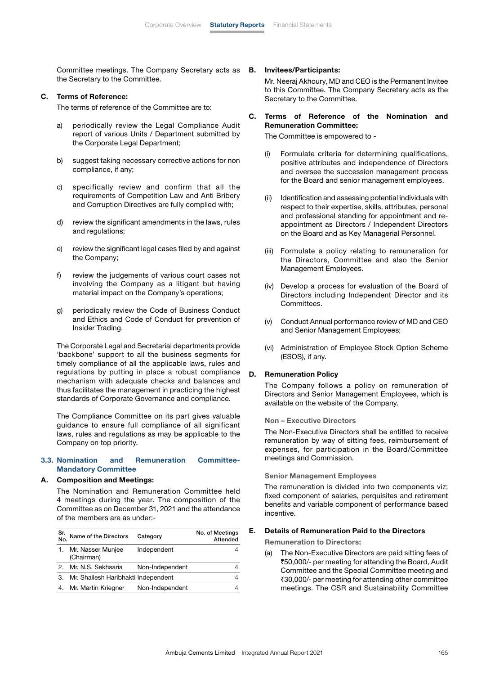Committee meetings. The Company Secretary acts as the Secretary to the Committee.

#### C. Terms of Reference:

The terms of reference of the Committee are to:

- a) periodically review the Legal Compliance Audit report of various Units / Department submitted by the Corporate Legal Department;
- b) suggest taking necessary corrective actions for non compliance, if any;
- c) specifically review and confirm that all the requirements of Competition Law and Anti Bribery and Corruption Directives are fully complied with;
- d) review the significant amendments in the laws, rules and regulations;
- e) review the significant legal cases filed by and against the Company;
- f) review the judgements of various court cases not involving the Company as a litigant but having material impact on the Company's operations;
- g) periodically review the Code of Business Conduct and Ethics and Code of Conduct for prevention of Insider Trading.

 The Corporate Legal and Secretarial departments provide 'backbone' support to all the business segments for timely compliance of all the applicable laws, rules and regulations by putting in place a robust compliance mechanism with adequate checks and balances and thus facilitates the management in practicing the highest standards of Corporate Governance and compliance.

 The Compliance Committee on its part gives valuable guidance to ensure full compliance of all significant laws, rules and regulations as may be applicable to the Company on top priority.

#### 3.3. Nomination and Remuneration Committee-Mandatory Committee

#### A. Composition and Meetings:

 The Nomination and Remuneration Committee held 4 meetings during the year. The composition of the Committee as on December 31, 2021 and the attendance of the members are as under:-

| Sr.<br>No. | Name of the Directors               | Category        | No. of Meetings<br>Attended |
|------------|-------------------------------------|-----------------|-----------------------------|
|            | 1. Mr. Nasser Munjee<br>(Chairman)  | Independent     |                             |
| 2.         | Mr. N.S. Sekhsaria                  | Non-Independent |                             |
| З.         | Mr. Shailesh Haribhakti Independent |                 | 4                           |
| 4.         | Mr. Martin Kriegner                 | Non-Independent |                             |

#### B. Invitees/Participants:

 Mr. Neeraj Akhoury, MD and CEO is the Permanent Invitee to this Committee. The Company Secretary acts as the Secretary to the Committee.

C. Terms of Reference of the Nomination and Remuneration Committee:

The Committee is empowered to -

- (i) Formulate criteria for determining qualifications, positive attributes and independence of Directors and oversee the succession management process for the Board and senior management employees.
- (ii) Identification and assessing potential individuals with respect to their expertise, skills, attributes, personal and professional standing for appointment and reappointment as Directors / Independent Directors on the Board and as Key Managerial Personnel.
- (iii) Formulate a policy relating to remuneration for the Directors, Committee and also the Senior Management Employees.
- (iv) Develop a process for evaluation of the Board of Directors including Independent Director and its Committees.
- (v) Conduct Annual performance review of MD and CEO and Senior Management Employees;
- (vi) Administration of Employee Stock Option Scheme (ESOS), if any.

#### D. Remuneration Policy

 The Company follows a policy on remuneration of Directors and Senior Management Employees, which is available on the website of the Company.

#### Non – Executive Directors

 The Non-Executive Directors shall be entitled to receive remuneration by way of sitting fees, reimbursement of expenses, for participation in the Board/Committee meetings and Commission.

Senior Management Employees

 The remuneration is divided into two components viz; fixed component of salaries, perquisites and retirement benefits and variable component of performance based incentive.

## E. Details of Remuneration Paid to the Directors

Remuneration to Directors:

(a) The Non-Executive Directors are paid sitting fees of `50,000/- per meeting for attending the Board, Audit Committee and the Special Committee meeting and ₹30,000/- per meeting for attending other committee meetings. The CSR and Sustainability Committee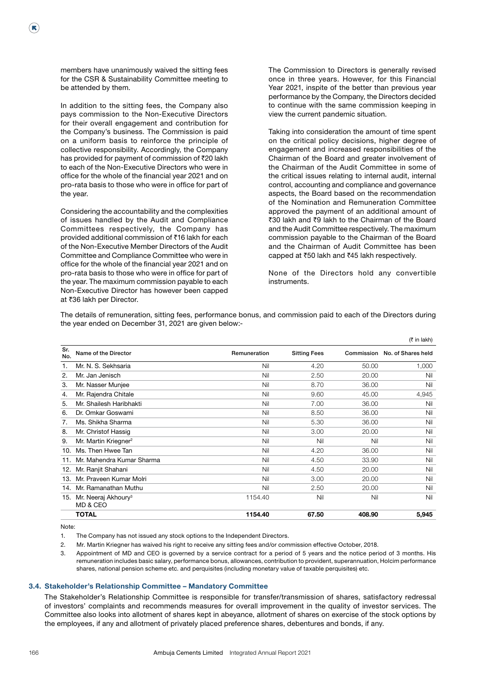members have unanimously waived the sitting fees for the CSR & Sustainability Committee meeting to be attended by them.

 $(\mathbf{R})$ 

 In addition to the sitting fees, the Company also pays commission to the Non-Executive Directors for their overall engagement and contribution for the Company's business. The Commission is paid on a uniform basis to reinforce the principle of collective responsibility. Accordingly, the Company has provided for payment of commission of  $\bar{z}$ 20 lakh to each of the Non-Executive Directors who were in office for the whole of the financial year 2021 and on pro-rata basis to those who were in office for part of the year.

 Considering the accountability and the complexities of issues handled by the Audit and Compliance Committees respectively, the Company has provided additional commission of  $\bar{\tau}$ 16 lakh for each of the Non-Executive Member Directors of the Audit Committee and Compliance Committee who were in office for the whole of the financial year 2021 and on pro-rata basis to those who were in office for part of the year. The maximum commission payable to each Non-Executive Director has however been capped at ₹36 lakh per Director.

 The Commission to Directors is generally revised once in three years. However, for this Financial Year 2021, inspite of the better than previous year performance by the Company, the Directors decided to continue with the same commission keeping in view the current pandemic situation.

 Taking into consideration the amount of time spent on the critical policy decisions, higher degree of engagement and increased responsibilities of the Chairman of the Board and greater involvement of the Chairman of the Audit Committee in some of the critical issues relating to internal audit, internal control, accounting and compliance and governance aspects, the Board based on the recommendation of the Nomination and Remuneration Committee approved the payment of an additional amount of ₹30 lakh and ₹9 lakh to the Chairman of the Board and the Audit Committee respectively. The maximum commission payable to the Chairman of the Board and the Chairman of Audit Committee has been capped at ₹50 lakh and ₹45 lakh respectively.

 None of the Directors hold any convertible instruments.

 The details of remuneration, sitting fees, performance bonus, and commission paid to each of the Directors during the year ended on December 31, 2021 are given below:-

|            |                                             |              |                     |        | (₹ in lakh)                   |
|------------|---------------------------------------------|--------------|---------------------|--------|-------------------------------|
| Sr.<br>No. | Name of the Director                        | Remuneration | <b>Sitting Fees</b> |        | Commission No. of Shares held |
| 1.         | Mr. N. S. Sekhsaria                         | Nil          | 4.20                | 50.00  | 1,000                         |
| 2.         | Mr. Jan Jenisch                             | Nil          | 2.50                | 20.00  | Nil                           |
| 3.         | Mr. Nasser Munjee                           | Nil          | 8.70                | 36.00  | Nil                           |
| 4.         | Mr. Rajendra Chitale                        | Nil          | 9.60                | 45.00  | 4,945                         |
| 5.         | Mr. Shailesh Haribhakti                     | Nil          | 7.00                | 36.00  | Nil                           |
| 6.         | Dr. Omkar Goswami                           | Nil          | 8.50                | 36.00  | Nil                           |
| 7.         | Ms. Shikha Sharma                           | Nil          | 5.30                | 36.00  | Nil                           |
| 8.         | Mr. Christof Hassig                         | Nil          | 3.00                | 20.00  | Nil                           |
| 9.         | Mr. Martin Kriegner <sup>2</sup>            | Nil          | Nil                 | Nil    | Nil                           |
| 10.        | Ms. Then Hwee Tan                           | Nil          | 4.20                | 36.00  | Nil                           |
| 11.        | Mr. Mahendra Kumar Sharma                   | Nil          | 4.50                | 33.90  | Nil                           |
| 12.        | Mr. Ranjit Shahani                          | Nil          | 4.50                | 20.00  | Nil                           |
| 13.        | Mr. Praveen Kumar Molri                     | Nil          | 3.00                | 20.00  | Nil                           |
| 14.        | Mr. Ramanathan Muthu                        | Nil          | 2.50                | 20.00  | Nil                           |
| 15.        | Mr. Neeraj Akhoury <sup>3</sup><br>MD & CEO | 1154.40      | Nil                 | Nil    | Nil                           |
|            | <b>TOTAL</b>                                | 1154.40      | 67.50               | 408.90 | 5,945                         |

Note:

1. The Company has not issued any stock options to the Independent Directors.

2. Mr. Martin Kriegner has waived his right to receive any sitting fees and/or commission effective October, 2018.

 3. Appointment of MD and CEO is governed by a service contract for a period of 5 years and the notice period of 3 months. His remuneration includes basic salary, performance bonus, allowances, contribution to provident, superannuation, Holcim performance shares, national pension scheme etc. and perquisites (including monetary value of taxable perquisites) etc.

#### 3.4. Stakeholder's Relationship Committee – Mandatory Committee

 The Stakeholder's Relationship Committee is responsible for transfer/transmission of shares, satisfactory redressal of investors' complaints and recommends measures for overall improvement in the quality of investor services. The Committee also looks into allotment of shares kept in abeyance, allotment of shares on exercise of the stock options by the employees, if any and allotment of privately placed preference shares, debentures and bonds, if any.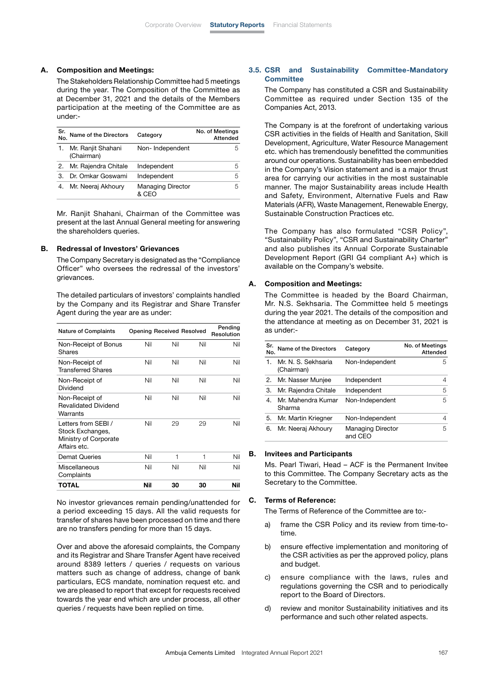## A. Composition and Meetings:

 The Stakeholders Relationship Committee had 5 meetings during the year. The Composition of the Committee as at December 31, 2021 and the details of the Members participation at the meeting of the Committee are as under:-

| Sr.<br>No. | Name of the Directors            | Category                 | No. of Meetings<br>Attended |
|------------|----------------------------------|--------------------------|-----------------------------|
|            | Mr. Ranjit Shahani<br>(Chairman) | Non-Independent          | h                           |
| 2.         | Mr. Rajendra Chitale             | Independent              | 5                           |
| З.         | Dr. Omkar Goswami                | Independent              | 5                           |
|            | Mr. Neeraj Akhoury               | <b>Managing Director</b> | 5                           |

 Mr. Ranjit Shahani, Chairman of the Committee was present at the last Annual General meeting for answering the shareholders queries.

#### B. Redressal of Investors' Grievances

 The Company Secretary is designated as the "Compliance Officer" who oversees the redressal of the investors' grievances.

 The detailed particulars of investors' complaints handled by the Company and its Registrar and Share Transfer Agent during the year are as under:

| <b>Nature of Complaints</b>                                                      |     |     | <b>Opening Received Resolved</b> | Pending<br>Resolution |
|----------------------------------------------------------------------------------|-----|-----|----------------------------------|-----------------------|
| Non-Receipt of Bonus<br>Shares                                                   | Nil | Nil | Nil                              | Nil                   |
| Non-Receipt of<br><b>Transferred Shares</b>                                      | Nil | Nil | Nil                              | Nil                   |
| Non-Receipt of<br>Dividend                                                       | Nil | Nil | Nil                              | Nil                   |
| Non-Receipt of<br><b>Revalidated Dividend</b><br>Warrants                        | Nil | Nil | Nil                              | Nil                   |
| Letters from SEBI /<br>Stock Exchanges,<br>Ministry of Corporate<br>Affairs etc. | Nil | 29  | 29                               | Nil                   |
| <b>Demat Queries</b>                                                             | Nil | 1   | 1                                | Nil                   |
| Miscellaneous<br>Complaints                                                      | Nil | Nil | Nil                              | Nil                   |
| TOTAL                                                                            | Nil | 30  | 30                               | Nil                   |

 No investor grievances remain pending/unattended for a period exceeding 15 days. All the valid requests for transfer of shares have been processed on time and there are no transfers pending for more than 15 days.

 Over and above the aforesaid complaints, the Company and its Registrar and Share Transfer Agent have received around 8389 letters / queries / requests on various matters such as change of address, change of bank particulars, ECS mandate, nomination request etc. and we are pleased to report that except for requests received towards the year end which are under process, all other queries / requests have been replied on time.

## 3.5. CSR and Sustainability Committee-Mandatory **Committee**

 The Company has constituted a CSR and Sustainability Committee as required under Section 135 of the Companies Act, 2013.

 The Company is at the forefront of undertaking various CSR activities in the fields of Health and Sanitation, Skill Development, Agriculture, Water Resource Management etc. which has tremendously benefitted the communities around our operations. Sustainability has been embedded in the Company's Vision statement and is a major thrust area for carrying our activities in the most sustainable manner. The major Sustainability areas include Health and Safety, Environment, Alternative Fuels and Raw Materials (AFR), Waste Management, Renewable Energy, Sustainable Construction Practices etc.

 The Company has also formulated "CSR Policy", "Sustainability Policy", "CSR and Sustainability Charter" and also publishes its Annual Corporate Sustainable Development Report (GRI G4 compliant A+) which is available on the Company's website.

#### A. Composition and Meetings:

 The Committee is headed by the Board Chairman, Mr. N.S. Sekhsaria. The Committee held 5 meetings during the year 2021. The details of the composition and the attendance at meeting as on December 31, 2021 is as under:-

| Sr.<br>No. | Name of the Directors             | Category                            | No. of Meetings<br>Attended |
|------------|-----------------------------------|-------------------------------------|-----------------------------|
|            | Mr. N. S. Sekhsaria<br>(Chairman) | Non-Independent                     | 5                           |
| 2.         | Mr. Nasser Munjee                 | Independent                         | 4                           |
| 3.         | Mr. Rajendra Chitale              | Independent                         | 5                           |
| 4.         | Mr. Mahendra Kumar<br>Sharma      | Non-Independent                     | 5                           |
| 5.         | Mr. Martin Kriegner               | Non-Independent                     | 4                           |
| 6.         | Mr. Neeraj Akhoury                | <b>Managing Director</b><br>and CEO | 5                           |

#### B. Invitees and Participants

 Ms. Pearl Tiwari, Head – ACF is the Permanent Invitee to this Committee. The Company Secretary acts as the Secretary to the Committee.

#### C. Terms of Reference:

The Terms of Reference of the Committee are to:-

- a) frame the CSR Policy and its review from time-totime.
- b) ensure effective implementation and monitoring of the CSR activities as per the approved policy, plans and budget.
- c) ensure compliance with the laws, rules and regulations governing the CSR and to periodically report to the Board of Directors.
- d) review and monitor Sustainability initiatives and its performance and such other related aspects.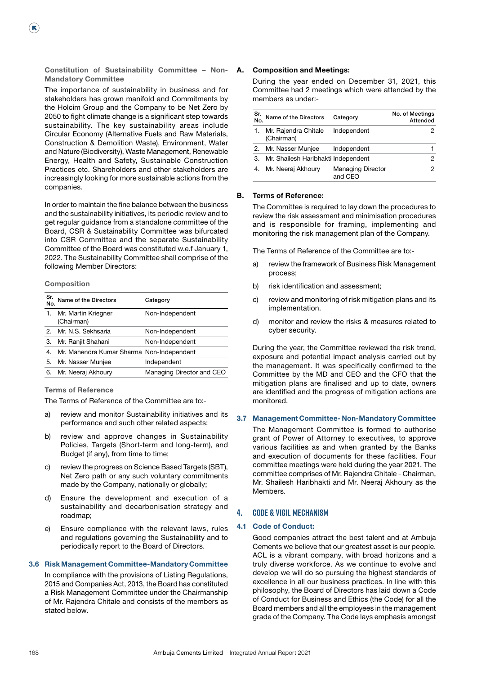Constitution of Sustainability Committee – Non-Mandatory Committee

 The importance of sustainability in business and for stakeholders has grown manifold and Commitments by the Holcim Group and the Company to be Net Zero by 2050 to fight climate change is a significant step towards sustainability. The key sustainability areas include Circular Economy (Alternative Fuels and Raw Materials, Construction & Demolition Waste), Environment, Water and Nature (Biodiversity), Waste Management, Renewable Energy, Health and Safety, Sustainable Construction Practices etc. Shareholders and other stakeholders are increasingly looking for more sustainable actions from the companies.

 In order to maintain the fine balance between the business and the sustainability initiatives, its periodic review and to get regular guidance from a standalone committee of the Board, CSR & Sustainability Committee was bifurcated into CSR Committee and the separate Sustainability Committee of the Board was constituted w.e.f January 1, 2022. The Sustainability Committee shall comprise of the following Member Directors:

#### Composition

(K)

| Sr.<br>No. | Name of the Directors                     | Category                  |
|------------|-------------------------------------------|---------------------------|
|            | 1. Mr. Martin Kriegner<br>(Chairman)      | Non-Independent           |
|            | 2. Mr. N.S. Sekhsaria                     | Non-Independent           |
| З.         | Mr. Ranjit Shahani                        | Non-Independent           |
| 4.         | Mr. Mahendra Kumar Sharma Non-Independent |                           |
| 5.         | Mr. Nasser Munjee                         | Independent               |
| 6.         | Mr. Neeraj Akhoury                        | Managing Director and CEO |
|            |                                           |                           |

## Terms of Reference

The Terms of Reference of the Committee are to:-

- a) review and monitor Sustainability initiatives and its performance and such other related aspects;
- b) review and approve changes in Sustainability Policies, Targets (Short-term and long-term), and Budget (if any), from time to time;
- c) review the progress on Science Based Targets (SBT), Net Zero path or any such voluntary commitments made by the Company, nationally or globally;
- d) Ensure the development and execution of a sustainability and decarbonisation strategy and roadmap;
- e) Ensure compliance with the relevant laws, rules and regulations governing the Sustainability and to periodically report to the Board of Directors.

#### 3.6 Risk Management Committee-Mandatory Committee

 In compliance with the provisions of Listing Regulations, 2015 and Companies Act, 2013, the Board has constituted a Risk Management Committee under the Chairmanship of Mr. Rajendra Chitale and consists of the members as stated below.

## A. Composition and Meetings:

 During the year ended on December 31, 2021, this Committee had 2 meetings which were attended by the members as under:-

| Sr.<br>No. | Name of the Directors               | Category                            | No. of Meetings<br>Attended |
|------------|-------------------------------------|-------------------------------------|-----------------------------|
|            | Mr. Rajendra Chitale<br>(Chairman)  | Independent                         |                             |
|            | 2. Mr. Nasser Munjee                | Independent                         |                             |
| 3.         | Mr. Shailesh Haribhakti Independent |                                     |                             |
|            | Mr. Neeraj Akhoury                  | <b>Managing Director</b><br>and CEO |                             |

## B. Terms of Reference:

 The Committee is required to lay down the procedures to review the risk assessment and minimisation procedures and is responsible for framing, implementing and monitoring the risk management plan of the Company.

The Terms of Reference of the Committee are to:-

- a) review the framework of Business Risk Management process;
- b) risk identification and assessment;
- c) review and monitoring of risk mitigation plans and its implementation.
- d) monitor and review the risks & measures related to cyber security.

 During the year, the Committee reviewed the risk trend, exposure and potential impact analysis carried out by the management. It was specifically confirmed to the Committee by the MD and CEO and the CFO that the mitigation plans are finalised and up to date, owners are identified and the progress of mitigation actions are monitored.

## 3.7 Management Committee- Non-Mandatory Committee

 The Management Committee is formed to authorise grant of Power of Attorney to executives, to approve various facilities as and when granted by the Banks and execution of documents for these facilities. Four committee meetings were held during the year 2021. The committee comprises of Mr. Rajendra Chitale - Chairman, Mr. Shailesh Haribhakti and Mr. Neeraj Akhoury as the Members.

## **4. Code & Vigil Mechanism**

#### 4.1 Code of Conduct:

 Good companies attract the best talent and at Ambuja Cements we believe that our greatest asset is our people. ACL is a vibrant company, with broad horizons and a truly diverse workforce. As we continue to evolve and develop we will do so pursuing the highest standards of excellence in all our business practices. In line with this philosophy, the Board of Directors has laid down a Code of Conduct for Business and Ethics (the Code) for all the Board members and all the employees in the management grade of the Company. The Code lays emphasis amongst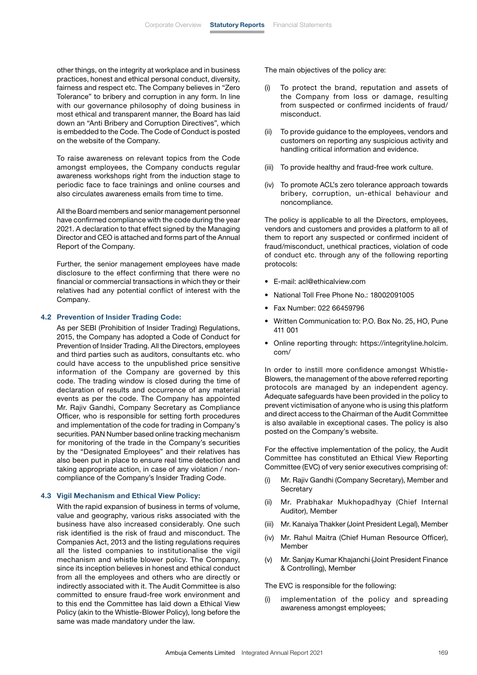other things, on the integrity at workplace and in business practices, honest and ethical personal conduct, diversity, fairness and respect etc. The Company believes in "Zero Tolerance" to bribery and corruption in any form. In line with our governance philosophy of doing business in most ethical and transparent manner, the Board has laid down an "Anti Bribery and Corruption Directives", which is embedded to the Code. The Code of Conduct is posted on the website of the Company.

 To raise awareness on relevant topics from the Code amongst employees, the Company conducts regular awareness workshops right from the induction stage to periodic face to face trainings and online courses and also circulates awareness emails from time to time.

 All the Board members and senior management personnel have confirmed compliance with the code during the year 2021. A declaration to that effect signed by the Managing Director and CEO is attached and forms part of the Annual Report of the Company.

 Further, the senior management employees have made disclosure to the effect confirming that there were no financial or commercial transactions in which they or their relatives had any potential conflict of interest with the Company.

#### 4.2 Prevention of Insider Trading Code:

 As per SEBI (Prohibition of Insider Trading) Regulations, 2015, the Company has adopted a Code of Conduct for Prevention of Insider Trading. All the Directors, employees and third parties such as auditors, consultants etc. who could have access to the unpublished price sensitive information of the Company are governed by this code. The trading window is closed during the time of declaration of results and occurrence of any material events as per the code. The Company has appointed Mr. Rajiv Gandhi, Company Secretary as Compliance Officer, who is responsible for setting forth procedures and implementation of the code for trading in Company's securities. PAN Number based online tracking mechanism for monitoring of the trade in the Company's securities by the "Designated Employees" and their relatives has also been put in place to ensure real time detection and taking appropriate action, in case of any violation / noncompliance of the Company's Insider Trading Code.

#### 4.3 Vigil Mechanism and Ethical View Policy:

 With the rapid expansion of business in terms of volume, value and geography, various risks associated with the business have also increased considerably. One such risk identified is the risk of fraud and misconduct. The Companies Act, 2013 and the listing regulations requires all the listed companies to institutionalise the vigil mechanism and whistle blower policy. The Company, since its inception believes in honest and ethical conduct from all the employees and others who are directly or indirectly associated with it. The Audit Committee is also committed to ensure fraud-free work environment and to this end the Committee has laid down a Ethical View Policy (akin to the Whistle-Blower Policy), long before the same was made mandatory under the law.

The main objectives of the policy are:

- (i) To protect the brand, reputation and assets of the Company from loss or damage, resulting from suspected or confirmed incidents of fraud/ misconduct.
- (ii) To provide guidance to the employees, vendors and customers on reporting any suspicious activity and handling critical information and evidence.
- (iii) To provide healthy and fraud-free work culture.
- (iv) To promote ACL's zero tolerance approach towards bribery, corruption, un-ethical behaviour and noncompliance.

 The policy is applicable to all the Directors, employees, vendors and customers and provides a platform to all of them to report any suspected or confirmed incident of fraud/misconduct, unethical practices, violation of code of conduct etc. through any of the following reporting protocols:

- E-mail: acl@ethicalview.com
- National Toll Free Phone No.: 18002091005
- Fax Number: 022 66459796
- Written Communication to: P.O. Box No. 25, HO, Pune 411 001
- Online reporting through: https://integrityline.holcim. com/

 In order to instill more confidence amongst Whistle-Blowers, the management of the above referred reporting protocols are managed by an independent agency. Adequate safeguards have been provided in the policy to prevent victimisation of anyone who is using this platform and direct access to the Chairman of the Audit Committee is also available in exceptional cases. The policy is also posted on the Company's website.

 For the effective implementation of the policy, the Audit Committee has constituted an Ethical View Reporting Committee (EVC) of very senior executives comprising of:

- (i) Mr. Rajiv Gandhi (Company Secretary), Member and **Secretary**
- (ii) Mr. Prabhakar Mukhopadhyay (Chief Internal Auditor), Member
- (iii) Mr. Kanaiya Thakker (Joint President Legal), Member
- (iv) Mr. Rahul Maitra (Chief Human Resource Officer), Member
- (v) Mr. Sanjay Kumar Khajanchi (Joint President Finance & Controlling), Member

The EVC is responsible for the following:

(i) implementation of the policy and spreading awareness amongst employees;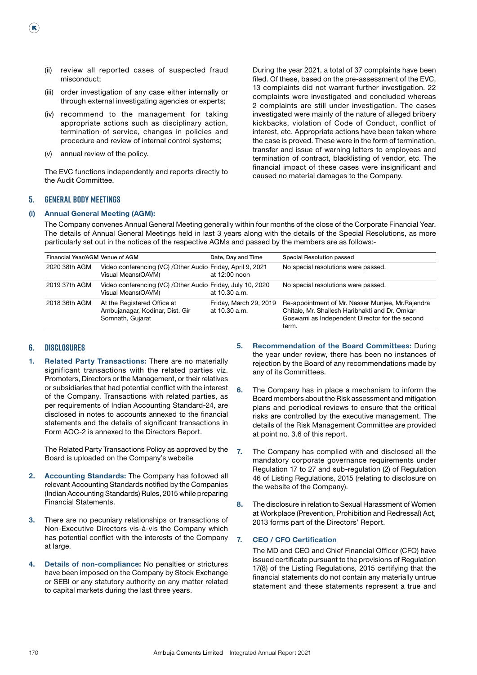- (ii) review all reported cases of suspected fraud misconduct;
- (iii) order investigation of any case either internally or through external investigating agencies or experts;
- (iv) recommend to the management for taking appropriate actions such as disciplinary action, termination of service, changes in policies and procedure and review of internal control systems;
- (v) annual review of the policy.

 The EVC functions independently and reports directly to the Audit Committee.

 During the year 2021, a total of 37 complaints have been filed. Of these, based on the pre-assessment of the EVC, 13 complaints did not warrant further investigation. 22 complaints were investigated and concluded whereas 2 complaints are still under investigation. The cases investigated were mainly of the nature of alleged bribery kickbacks, violation of Code of Conduct, conflict of interest, etc. Appropriate actions have been taken where the case is proved. These were in the form of termination, transfer and issue of warning letters to employees and termination of contract, blacklisting of vendor, etc. The financial impact of these cases were insignificant and caused no material damages to the Company.

## **5. General Body Meetings**

 $(\mathbf{R})$ 

#### (i) Annual General Meeting (AGM):

 The Company convenes Annual General Meeting generally within four months of the close of the Corporate Financial Year. The details of Annual General Meetings held in last 3 years along with the details of the Special Resolutions, as more particularly set out in the notices of the respective AGMs and passed by the members are as follows:-

| Financial Year/AGM Venue of AGM |                                                                                    | Date, Day and Time                      | Special Resolution passed                                                                                                                                      |
|---------------------------------|------------------------------------------------------------------------------------|-----------------------------------------|----------------------------------------------------------------------------------------------------------------------------------------------------------------|
| 2020 38th AGM                   | Video conferencing (VC) / Other Audio Friday, April 9, 2021<br>Visual Means(OAVM)  | at 12:00 noon                           | No special resolutions were passed.                                                                                                                            |
| 2019 37th AGM                   | Video conferencing (VC) / Other Audio Friday, July 10, 2020<br>Visual Means(OAVM)  | at 10.30 a.m.                           | No special resolutions were passed.                                                                                                                            |
| 2018 36th AGM                   | At the Registered Office at<br>Ambujanagar, Kodinar, Dist. Gir<br>Somnath, Gujarat | Friday, March 29, 2019<br>at 10.30 a.m. | Re-appointment of Mr. Nasser Muniee, Mr. Rajendra<br>Chitale, Mr. Shailesh Haribhakti and Dr. Omkar<br>Goswami as Independent Director for the second<br>term. |

## **6. Disclosures**

1. Related Party Transactions: There are no materially significant transactions with the related parties viz. Promoters, Directors or the Management, or their relatives or subsidiaries that had potential conflict with the interest of the Company. Transactions with related parties, as per requirements of Indian Accounting Standard-24, are disclosed in notes to accounts annexed to the financial statements and the details of significant transactions in Form AOC-2 is annexed to the Directors Report.

 The Related Party Transactions Policy as approved by the Board is uploaded on the Company's website

- 2. Accounting Standards: The Company has followed all relevant Accounting Standards notified by the Companies (Indian Accounting Standards) Rules, 2015 while preparing Financial Statements.
- 3. There are no pecuniary relationships or transactions of Non-Executive Directors vis-à-vis the Company which has potential conflict with the interests of the Company at large.
- 4. Details of non-compliance: No penalties or strictures have been imposed on the Company by Stock Exchange or SEBI or any statutory authority on any matter related to capital markets during the last three years.
- 5. Recommendation of the Board Committees: During the year under review, there has been no instances of rejection by the Board of any recommendations made by any of its Committees.
- 6. The Company has in place a mechanism to inform the Board members about the Risk assessment and mitigation plans and periodical reviews to ensure that the critical risks are controlled by the executive management. The details of the Risk Management Committee are provided at point no. 3.6 of this report.
- 7. The Company has complied with and disclosed all the mandatory corporate governance requirements under Regulation 17 to 27 and sub-regulation (2) of Regulation 46 of Listing Regulations, 2015 (relating to disclosure on the website of the Company).
- 8. The disclosure in relation to Sexual Harassment of Women at Workplace (Prevention, Prohibition and Redressal) Act, 2013 forms part of the Directors' Report.

#### 7. CEO / CFO Certification

 The MD and CEO and Chief Financial Officer (CFO) have issued certificate pursuant to the provisions of Regulation 17(8) of the Listing Regulations, 2015 certifying that the financial statements do not contain any materially untrue statement and these statements represent a true and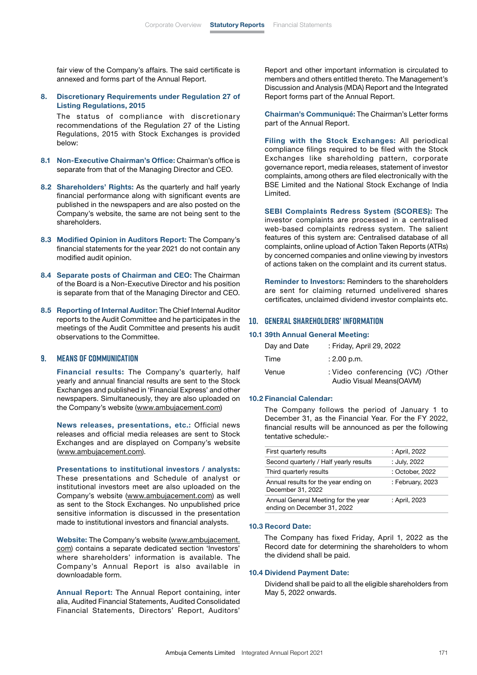fair view of the Company's affairs. The said certificate is annexed and forms part of the Annual Report.

8. Discretionary Requirements under Regulation 27 of Listing Regulations, 2015

 The status of compliance with discretionary recommendations of the Regulation 27 of the Listing Regulations, 2015 with Stock Exchanges is provided below:

- 8.1 Non-Executive Chairman's Office: Chairman's office is separate from that of the Managing Director and CEO.
- 8.2 Shareholders' Rights: As the quarterly and half yearly financial performance along with significant events are published in the newspapers and are also posted on the Company's website, the same are not being sent to the shareholders.
- 8.3 Modified Opinion in Auditors Report: The Company's financial statements for the year 2021 do not contain any modified audit opinion.
- 8.4 Separate posts of Chairman and CEO: The Chairman of the Board is a Non-Executive Director and his position is separate from that of the Managing Director and CEO.
- 8.5 Reporting of Internal Auditor: The Chief Internal Auditor reports to the Audit Committee and he participates in the meetings of the Audit Committee and presents his audit observations to the Committee.

## **9. Means of Communication**

Financial results: The Company's quarterly, half yearly and annual financial results are sent to the Stock Exchanges and published in 'Financial Express' and other newspapers. Simultaneously, they are also uploaded on the Company's website ([www.ambujacement.com](http://www.ambujacement.com))

 News releases, presentations, etc.: Official news releases and official media releases are sent to Stock Exchanges and are displayed on Company's website [\(www.ambujacement.com](http://www.ambujacement.com)).

 Presentations to institutional investors / analysts: These presentations and Schedule of analyst or institutional investors meet are also uploaded on the Company's website ([www.ambujacement.com\)](http://www.ambujacement.com) as well as sent to the Stock Exchanges. No unpublished price sensitive information is discussed in the presentation made to institutional investors and financial analysts.

Website: The Company's website [\(www.ambujacement.](http://www.ambujacement.com) [com\)](http://www.ambujacement.com) contains a separate dedicated section 'Investors' where shareholders' information is available. The Company's Annual Report is also available in downloadable form.

 Annual Report: The Annual Report containing, inter alia, Audited Financial Statements, Audited Consolidated Financial Statements, Directors' Report, Auditors'

Report and other important information is circulated to members and others entitled thereto. The Management's Discussion and Analysis (MDA) Report and the Integrated Report forms part of the Annual Report.

 Chairman's Communiqué: The Chairman's Letter forms part of the Annual Report.

 Filing with the Stock Exchanges: All periodical compliance filings required to be filed with the Stock Exchanges like shareholding pattern, corporate governance report, media releases, statement of investor complaints, among others are filed electronically with the BSE Limited and the National Stock Exchange of India Limited.

 SEBI Complaints Redress System (SCORES): The investor complaints are processed in a centralised web-based complaints redress system. The salient features of this system are: Centralised database of all complaints, online upload of Action Taken Reports (ATRs) by concerned companies and online viewing by investors of actions taken on the complaint and its current status.

Reminder to Investors: Reminders to the shareholders are sent for claiming returned undelivered shares certificates, unclaimed dividend investor complaints etc.

#### **10. General Shareholders' Information**

10.1 39th Annual General Meeting:

| Day and Date | : Friday, April 29, 2022                                       |
|--------------|----------------------------------------------------------------|
| Time         | $: 2.00$ p.m.                                                  |
| Venue        | : Video conferencing (VC) / Other<br>Audio Visual Means (OAVM) |

## 10.2 Financial Calendar:

 The Company follows the period of January 1 to December 31, as the Financial Year. For the FY 2022, financial results will be announced as per the following tentative schedule:-

| First quarterly results                                            | : April, 2022    |
|--------------------------------------------------------------------|------------------|
| Second quarterly / Half yearly results                             | : July, 2022     |
| Third quarterly results                                            | : October, 2022  |
| Annual results for the year ending on<br>December 31, 2022         | : February, 2023 |
| Annual General Meeting for the year<br>ending on December 31, 2022 | : April, 2023    |

#### 10.3 Record Date:

 The Company has fixed Friday, April 1, 2022 as the Record date for determining the shareholders to whom the dividend shall be paid.

#### 10.4 Dividend Payment Date:

 Dividend shall be paid to all the eligible shareholders from May 5, 2022 onwards.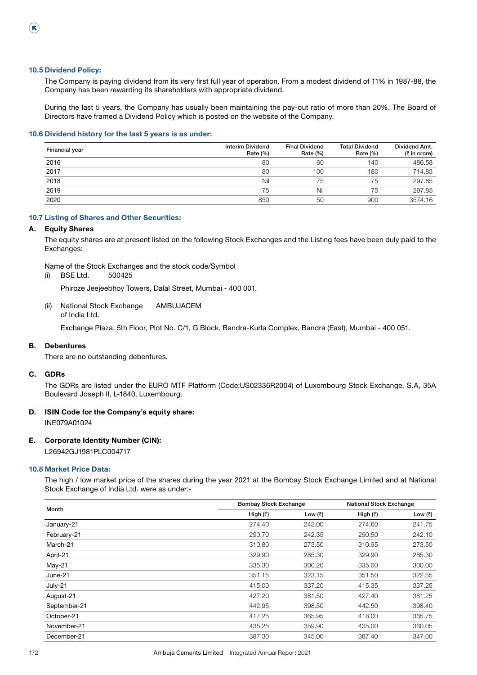$(\mathbf{R})$ 

## The Company is paying dividend from its very first full year of operation. From a modest dividend of 11% in 1987-88, the Company has been rewarding its shareholders with appropriate dividend.

 During the last 5 years, the Company has usually been maintaining the pay-out ratio of more than 20%. The Board of Directors have framed a Dividend Policy which is posted on the website of the Company.

#### 10.6 Dividend history for the last 5 years is as under:

| <b>Financial year</b> | <b>Interim Dividend</b><br>Rate $(\%)$ | <b>Final Dividend</b><br>Rate (%) | <b>Total Dividend</b><br>Rate $(\%)$ | Dividend Amt.<br>(₹ in crore) |
|-----------------------|----------------------------------------|-----------------------------------|--------------------------------------|-------------------------------|
| 2016                  | 80                                     | 60                                | 140                                  | 486.58                        |
| 2017                  | 80                                     | 100                               | 180                                  | 714.83                        |
| 2018                  | Nil                                    | 75                                | 75                                   | 297.85                        |
| 2019                  | 75                                     | Nil                               | 75                                   | 297.85                        |
| 2020                  | 850                                    | 50                                | 900                                  | 3574.16                       |

#### 10.7 Listing of Shares and Other Securities:

## A. Equity Shares

 The equity shares are at present listed on the following Stock Exchanges and the Listing fees have been duly paid to the Exchanges:

Name of the Stock Exchanges and the stock code/Symbol

(i) BSE Ltd. 500425

Phiroze Jeejeebhoy Towers, Dalal Street, Mumbai - 400 001.

(ii) National Stock Exchange AMBUJACEM of India Ltd.

Exchange Plaza, 5th Floor, Plot No. C/1, G Block, Bandra-Kurla Complex, Bandra (East), Mumbai - 400 051.

## B. Debentures

There are no outstanding debentures.

## C. GDRs

 The GDRs are listed under the EURO MTF Platform (Code:US02336R2004) of Luxembourg Stock Exchange, S.A, 35A Boulevard Joseph II, L-1840, Luxembourg.

## D. ISIN Code for the Company's equity share:

INE079A01024

## E. Corporate Identity Number (CIN):

L26942GJ1981PLC004717

## 10.8 Market Price Data:

 The high / low market price of the shares during the year 2021 at the Bombay Stock Exchange Limited and at National Stock Exchange of India Ltd. were as under:-

|              |                  | <b>Bombay Stock Exchange</b> |          | <b>National Stock Exchange</b> |
|--------------|------------------|------------------------------|----------|--------------------------------|
| Month        | High $(\bar{x})$ | Low (₹)                      | High (₹) | Low $(\bar{z})$                |
| January-21   | 274.40           | 242.00                       | 274.60   | 241.75                         |
| February-21  | 290.70           | 242.35                       | 290.50   | 242.10                         |
| March-21     | 310.80           | 273.50                       | 310.95   | 273.50                         |
| April-21     | 329.90           | 285.30                       | 329.90   | 285.30                         |
| $May-21$     | 335.30           | 300.20                       | 335.00   | 300.00                         |
| June-21      | 351.15           | 323.15                       | 351.50   | 322.55                         |
| July-21      | 415.00           | 337.20                       | 415.35   | 337.25                         |
| August-21    | 427.20           | 381.50                       | 427.40   | 381.25                         |
| September-21 | 442.95           | 398.50                       | 442.50   | 398.40                         |
| October-21   | 417.25           | 365.95                       | 418.00   | 365.75                         |
| November-21  | 435.25           | 359.90                       | 435.00   | 360.05                         |
| December-21  | 387.30           | 345.00                       | 387.40   | 347.00                         |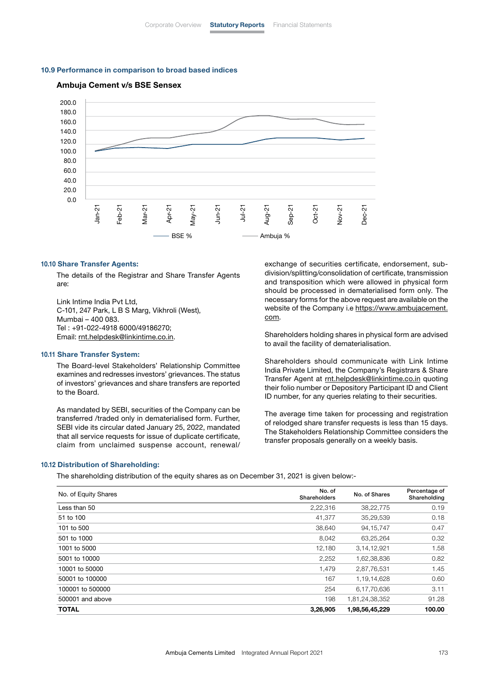#### 10.9 Performance in comparison to broad based indices

## Ambuja Cement v/s BSE Sensex



#### 10.10 Share Transfer Agents:

 The details of the Registrar and Share Transfer Agents are:

Link Intime India Pvt Ltd, C-101, 247 Park, L B S Marg, Vikhroli (West), Mumbai – 400 083. Tel : +91-022-4918 6000/49186270; Email: [rnt.helpdesk@linkintime.co.in](mailto:rnt.helpdesk%40linkintime.co.in?subject=).

#### 10.11 Share Transfer System:

 The Board-level Stakeholders' Relationship Committee examines and redresses investors' grievances. The status of investors' grievances and share transfers are reported to the Board.

 As mandated by SEBI, securities of the Company can be transferred /traded only in dematerialised form. Further, SEBI vide its circular dated January 25, 2022, mandated that all service requests for issue of duplicate certificate, claim from unclaimed suspense account, renewal/

exchange of securities certificate, endorsement, subdivision/splitting/consolidation of certificate, transmission and transposition which were allowed in physical form should be processed in dematerialised form only. The necessary forms for the above request are available on the website of the Company i.e [https://www.ambujacement.](https://www.ambujacement.com) [com](https://www.ambujacement.com).

 Shareholders holding shares in physical form are advised to avail the facility of dematerialisation.

 Shareholders should communicate with Link Intime India Private Limited, the Company's Registrars & Share Transfer Agent at [rnt.helpdesk@linkintime.co.in](mailto:rnt.helpdesk%40linkintime.co.in?subject=) quoting their folio number or Depository Participant ID and Client ID number, for any queries relating to their securities.

 The average time taken for processing and registration of relodged share transfer requests is less than 15 days. The Stakeholders Relationship Committee considers the transfer proposals generally on a weekly basis.

#### 10.12 Distribution of Shareholding:

The shareholding distribution of the equity shares as on December 31, 2021 is given below:-

| No. of Equity Shares | No. of<br>Shareholders | No. of Shares  | Percentage of<br>Shareholding |
|----------------------|------------------------|----------------|-------------------------------|
| Less than 50         | 2,22,316               | 38,22,775      | 0.19                          |
| 51 to 100            | 41,377                 | 35,29,539      | 0.18                          |
| 101 to 500           | 38,640                 | 94, 15, 747    | 0.47                          |
| 501 to 1000          | 8,042                  | 63,25,264      | 0.32                          |
| 1001 to 5000         | 12,180                 | 3,14,12,921    | 1.58                          |
| 5001 to 10000        | 2,252                  | 1,62,38,836    | 0.82                          |
| 10001 to 50000       | 1,479                  | 2,87,76,531    | 1.45                          |
| 50001 to 100000      | 167                    | 1,19,14,628    | 0.60                          |
| 100001 to 500000     | 254                    | 6.17.70.636    | 3.11                          |
| 500001 and above     | 198                    | 1,81,24,38,352 | 91.28                         |
| <b>TOTAL</b>         | 3,26,905               | 1,98,56,45,229 | 100.00                        |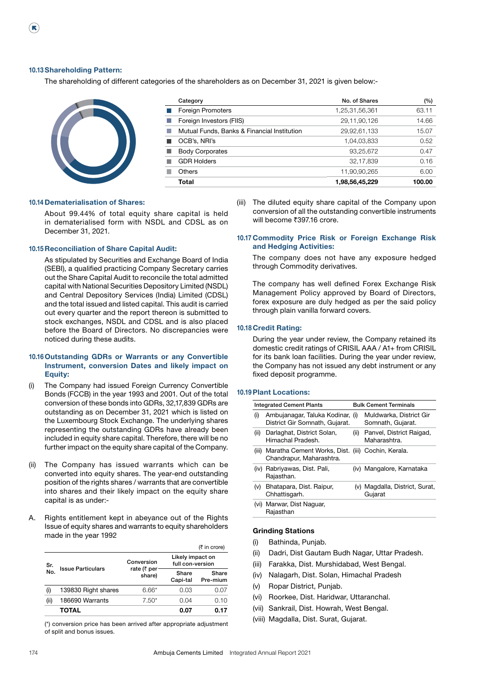$(\mathbf{R})$ 

The shareholding of different categories of the shareholders as on December 31, 2021 is given below:-



| Category                                    | No. of Shares  | (%)    |
|---------------------------------------------|----------------|--------|
| <b>Foreign Promoters</b>                    | 1,25,31,56,361 | 63.11  |
| Foreign Investors (FIIS)                    | 29,11,90,126   | 14.66  |
| Mutual Funds, Banks & Financial Institution | 29,92,61,133   | 15.07  |
| OCB's, NRI's                                | 1,04,03,833    | 0.52   |
| <b>Body Corporates</b>                      | 93,25,672      | 0.47   |
| <b>GDR Holders</b>                          | 32,17,839      | 0.16   |
| Others                                      | 11,90,90,265   | 6.00   |
| Total                                       | 1,98,56,45,229 | 100.00 |

#### 10.14 Dematerialisation of Shares:

 About 99.44% of total equity share capital is held in dematerialised form with NSDL and CDSL as on December 31, 2021.

## 10.15 Reconciliation of Share Capital Audit:

 As stipulated by Securities and Exchange Board of India (SEBI), a qualified practicing Company Secretary carries out the Share Capital Audit to reconcile the total admitted capital with National Securities Depository Limited (NSDL) and Central Depository Services (India) Limited (CDSL) and the total issued and listed capital. This audit is carried out every quarter and the report thereon is submitted to stock exchanges, NSDL and CDSL and is also placed before the Board of Directors. No discrepancies were noticed during these audits.

## 10.16 Outstanding GDRs or Warrants or any Convertible Instrument, conversion Dates and likely impact on Equity:

- (i) The Company had issued Foreign Currency Convertible Bonds (FCCB) in the year 1993 and 2001. Out of the total conversion of these bonds into GDRs, 32,17,839 GDRs are outstanding as on December 31, 2021 which is listed on the Luxembourg Stock Exchange. The underlying shares representing the outstanding GDRs have already been included in equity share capital. Therefore, there will be no further impact on the equity share capital of the Company.
- (ii) The Company has issued warrants which can be converted into equity shares. The year-end outstanding position of the rights shares / warrants that are convertible into shares and their likely impact on the equity share capital is as under:-
- A. Rights entitlement kept in abeyance out of the Rights Issue of equity shares and warrants to equity shareholders made in the year 1992

|            |                          |                                                 |                                      | $(5 \text{ in } \text{core})$ |
|------------|--------------------------|-------------------------------------------------|--------------------------------------|-------------------------------|
| Sr.<br>No. |                          | Conversion<br>rate ( $\bar{\tau}$ per<br>share) | Likely impact on<br>full con-version |                               |
|            | <b>Issue Particulars</b> |                                                 | Share<br>Capi-tal                    | Share<br>Pre-mium             |
| (i)        | 139830 Right shares      | $6.66*$                                         | 0.03                                 | 0.07                          |
| (ii)       | 186690 Warrants          | $7.50*$                                         | 0.04                                 | 0.10                          |
|            | TOTAL                    |                                                 | 0.07                                 | 0.17                          |

 (\*) conversion price has been arrived after appropriate adjustment of split and bonus issues.

(iii) The diluted equity share capital of the Company upon conversion of all the outstanding convertible instruments will become ₹397.16 crore.

## 10.17 Commodity Price Risk or Foreign Exchange Risk and Hedging Activities:

 The company does not have any exposure hedged through Commodity derivatives.

 The company has well defined Forex Exchange Risk Management Policy approved by Board of Directors, forex exposure are duly hedged as per the said policy through plain vanilla forward covers.

#### 10.18 Credit Rating:

 During the year under review, the Company retained its domestic credit ratings of CRISIL AAA / A1+ from CRISIL for its bank loan facilities. During the year under review, the Company has not issued any debt instrument or any fixed deposit programme.

#### 10.19Plant Locations:

| <b>Integrated Cement Plants</b> |                                                                               |      | <b>Bulk Cement Terminals</b>                 |
|---------------------------------|-------------------------------------------------------------------------------|------|----------------------------------------------|
| (i)                             | Ambujanagar, Taluka Kodinar, (i)<br>District Gir Somnath, Gujarat.            |      | Muldwarka, District Gir<br>Somnath, Gujarat. |
| (ii)                            | Darlaghat, District Solan,<br>Himachal Pradesh.                               | (ii) | Panvel, District Raigad,<br>Maharashtra.     |
| (iii)                           | Maratha Cement Works, Dist. (iii) Cochin, Kerala.<br>Chandrapur, Maharashtra. |      |                                              |
|                                 | (iv) Rabriyawas, Dist. Pali,<br>Rajasthan.                                    |      | (iv) Mangalore, Karnataka                    |
| (v)                             | Bhatapara, Dist. Raipur,<br>Chhattisgarh.                                     |      | (v) Magdalla, District, Surat,<br>Gujarat    |
| (VI)                            | Marwar, Dist Naguar,<br>Rajasthan                                             |      |                                              |

#### Grinding Stations

- (i) Bathinda, Punjab.
- (ii) Dadri, Dist Gautam Budh Nagar, Uttar Pradesh.
- (iii) Farakka, Dist. Murshidabad, West Bengal.
- (iv) Nalagarh, Dist. Solan, Himachal Pradesh
- (v) Ropar District, Punjab.
- (vi) Roorkee, Dist. Haridwar, Uttaranchal.
- (vii) Sankrail, Dist. Howrah, West Bengal.
- (viii) Magdalla, Dist. Surat, Gujarat.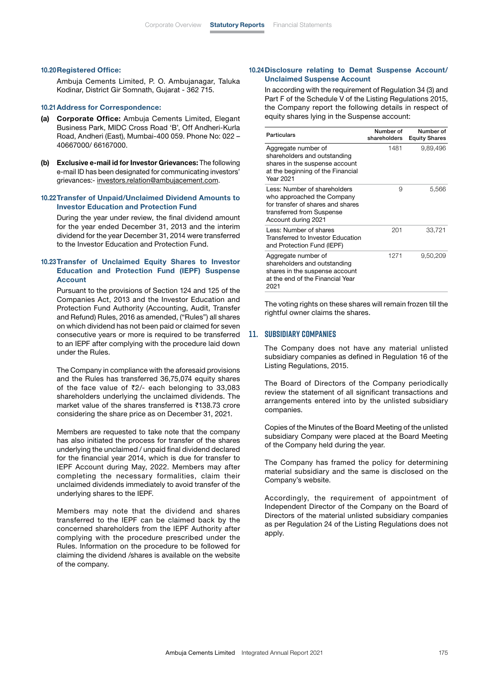#### 10.20Registered Office:

 Ambuja Cements Limited, P. O. Ambujanagar, Taluka Kodinar, District Gir Somnath, Gujarat - 362 715.

#### 10.21Address for Correspondence:

- (a) Corporate Office: Ambuja Cements Limited, Elegant Business Park, MIDC Cross Road 'B', Off Andheri-Kurla Road, Andheri (East), Mumbai-400 059. Phone No: 022 – 40667000/ 66167000.
- (b) Exclusive e-mail id for Investor Grievances: The following e-mail ID has been designated for communicating investors' grievances:- [investors.relation@ambujacement.com](mailto:investors.relation%40ambujacement.com?subject=).

#### 10.22 Transfer of Unpaid/Unclaimed Dividend Amounts to Investor Education and Protection Fund

 During the year under review, the final dividend amount for the year ended December 31, 2013 and the interim dividend for the year December 31, 2014 were transferred to the Investor Education and Protection Fund.

## 10.23 Transfer of Unclaimed Equity Shares to Investor Education and Protection Fund (IEPF) Suspense Account

 Pursuant to the provisions of Section 124 and 125 of the Companies Act, 2013 and the Investor Education and Protection Fund Authority (Accounting, Audit, Transfer and Refund) Rules, 2016 as amended, ("Rules") all shares on which dividend has not been paid or claimed for seven consecutive years or more is required to be transferred to an IEPF after complying with the procedure laid down under the Rules.

 The Company in compliance with the aforesaid provisions and the Rules has transferred 36,75,074 equity shares of the face value of  $\overline{z}2/-$  each belonging to 33,083 shareholders underlying the unclaimed dividends. The market value of the shares transferred is  $\overline{5}138.73$  crore considering the share price as on December 31, 2021.

 Members are requested to take note that the company has also initiated the process for transfer of the shares underlying the unclaimed / unpaid final dividend declared for the financial year 2014, which is due for transfer to IEPF Account during May, 2022. Members may after completing the necessary formalities, claim their unclaimed dividends immediately to avoid transfer of the underlying shares to the IEPF.

 Members may note that the dividend and shares transferred to the IEPF can be claimed back by the concerned shareholders from the IEPF Authority after complying with the procedure prescribed under the Rules. Information on the procedure to be followed for claiming the dividend /shares is available on the website of the company.

## 10.24 Disclosure relating to Demat Suspense Account/ Unclaimed Suspense Account

 In according with the requirement of Regulation 34 (3) and Part F of the Schedule V of the Listing Regulations 2015, the Company report the following details in respect of equity shares lying in the Suspense account:

| Particulars                                                                                                                                         | Number of<br>shareholders | Number of<br><b>Equity Shares</b> |
|-----------------------------------------------------------------------------------------------------------------------------------------------------|---------------------------|-----------------------------------|
| Aggregate number of<br>shareholders and outstanding<br>shares in the suspense account<br>at the beginning of the Financial<br>Year 2021             | 1481                      | 9,89,496                          |
| Less: Number of shareholders<br>who approached the Company<br>for transfer of shares and shares<br>transferred from Suspense<br>Account during 2021 | 9                         | 5,566                             |
| Less: Number of shares<br>Transferred to Investor Education<br>and Protection Fund (IEPF)                                                           | 201                       | 33,721                            |
| Aggregate number of<br>shareholders and outstanding<br>shares in the suspense account<br>at the end of the Financial Year<br>2021                   | 1271                      | 9,50,209                          |

 The voting rights on these shares will remain frozen till the rightful owner claims the shares.

## **11. Subsidiary Companies**

 The Company does not have any material unlisted subsidiary companies as defined in Regulation 16 of the Listing Regulations, 2015.

 The Board of Directors of the Company periodically review the statement of all significant transactions and arrangements entered into by the unlisted subsidiary companies.

 Copies of the Minutes of the Board Meeting of the unlisted subsidiary Company were placed at the Board Meeting of the Company held during the year.

 The Company has framed the policy for determining material subsidiary and the same is disclosed on the Company's website.

 Accordingly, the requirement of appointment of Independent Director of the Company on the Board of Directors of the material unlisted subsidiary companies as per Regulation 24 of the Listing Regulations does not apply.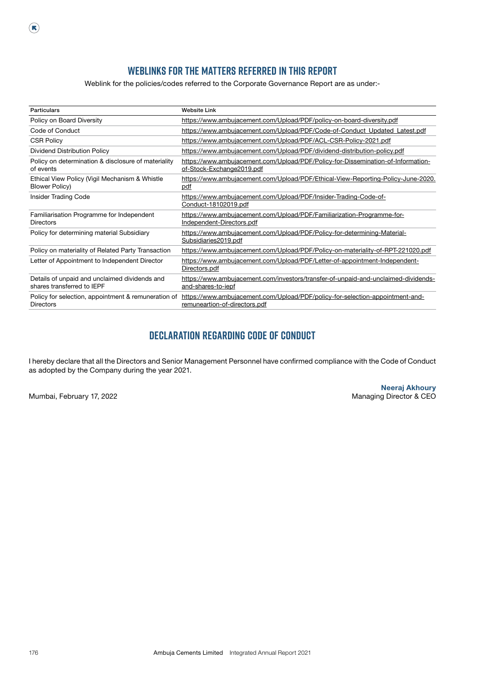## **WEBLINKS FOR THE MATTERS REFERRED IN THIS REPORT**

Weblink for the policies/codes referred to the Corporate Governance Report are as under:-

| <b>Particulars</b>                                                          | <b>Website Link</b>                                                                                            |
|-----------------------------------------------------------------------------|----------------------------------------------------------------------------------------------------------------|
| Policy on Board Diversity                                                   | https://www.ambujacement.com/Upload/PDF/policy-on-board-diversity.pdf                                          |
| Code of Conduct                                                             | https://www.ambujacement.com/Upload/PDF/Code-of-Conduct_Updated_Latest.pdf                                     |
| <b>CSR Policy</b>                                                           | https://www.ambujacement.com/Upload/PDF/ACL-CSR-Policy-2021.pdf                                                |
| Dividend Distribution Policy                                                | https://www.ambujacement.com/Upload/PDF/dividend-distribution-policy.pdf                                       |
| Policy on determination & disclosure of materiality<br>of events            | https://www.ambujacement.com/Upload/PDF/Policy-for-Dissemination-of-Information-<br>of-Stock-Exchange2019.pdf  |
| Ethical View Policy (Vigil Mechanism & Whistle<br>Blower Policy)            | https://www.ambujacement.com/Upload/PDF/Ethical-View-Reporting-Policy-June-2020.<br>pdf                        |
| <b>Insider Trading Code</b>                                                 | https://www.ambujacement.com/Upload/PDF/Insider-Trading-Code-of-<br>Conduct-18102019.pdf                       |
| Familiarisation Programme for Independent<br><b>Directors</b>               | https://www.ambujacement.com/Upload/PDF/Familiarization-Programme-for-<br>Independent-Directors.pdf            |
| Policy for determining material Subsidiary                                  | https://www.ambujacement.com/Upload/PDF/Policy-for-determining-Material-<br>Subsidiaries2019.pdf               |
| Policy on materiality of Related Party Transaction                          | https://www.ambujacement.com/Upload/PDF/Policy-on-materiality-of-RPT-221020.pdf                                |
| Letter of Appointment to Independent Director                               | https://www.ambujacement.com/Upload/PDF/Letter-of-appointment-Independent-<br>Directors.pdf                    |
| Details of unpaid and unclaimed dividends and<br>shares transferred to IEPF | https://www.ambujacement.com/investors/transfer-of-unpaid-and-unclaimed-dividends-<br>and-shares-to-iepf       |
| Policy for selection, appointment & remuneration of<br><b>Directors</b>     | https://www.ambujacement.com/Upload/PDF/policy-for-selection-appointment-and-<br>remuneartion-of-directors.pdf |

## **DECLARATION REGARDING CODE OF CONDUCT**

I hereby declare that all the Directors and Senior Management Personnel have confirmed compliance with the Code of Conduct as adopted by the Company during the year 2021.

 $\left( \mathbb{R}\right)$ 

Neeraj Akhoury Mumbai, February 17, 2022 **Mumbai, February 17, 2022** and the state of the state of the Managing Director & CEO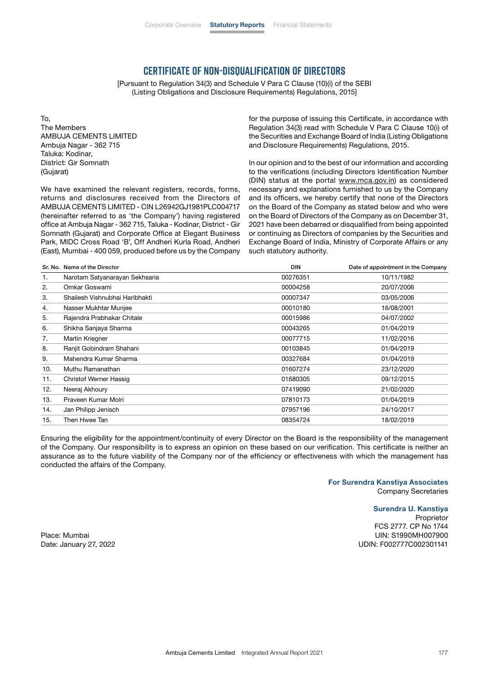## **CERTIFICATE OF NON-DISQUALIFICATION OF DIRECTORS**

[Pursuant to Regulation 34(3) and Schedule V Para C Clause (10)(i) of the SEBI (Listing Obligations and Disclosure Requirements) Regulations, 2015]

To, The Members AMBUJA CEMENTS LIMITED Ambuja Nagar - 362 715 Taluka: Kodinar, District: Gir Somnath (Gujarat)

We have examined the relevant registers, records, forms, returns and disclosures received from the Directors of AMBUJA CEMENTS LIMITED - CIN L26942GJ1981PLC004717 (hereinafter referred to as 'the Company') having registered office at Ambuja Nagar - 362 715, Taluka - Kodinar, District - Gir Somnath (Gujarat) and Corporate Office at Elegant Business Park, MIDC Cross Road 'B', Off Andheri Kurla Road, Andheri (East), Mumbai - 400 059, produced before us by the Company for the purpose of issuing this Certificate, in accordance with Regulation 34(3) read with Schedule V Para C Clause 10(i) of the Securities and Exchange Board of India (Listing Obligations and Disclosure Requirements) Regulations, 2015.

In our opinion and to the best of our information and according to the verifications (including Directors Identification Number (DIN) status at the portal [www.mca.gov.in](http://www.mca.gov.in)) as considered necessary and explanations furnished to us by the Company and its officers, we hereby certify that none of the Directors on the Board of the Company as stated below and who were on the Board of Directors of the Company as on December 31, 2021 have been debarred or disqualified from being appointed or continuing as Directors of companies by the Securities and Exchange Board of India, Ministry of Corporate Affairs or any such statutory authority.

|     | Sr. No. Name of the Director   | <b>DIN</b> | Date of appointment in the Company |
|-----|--------------------------------|------------|------------------------------------|
| 1.  | Narotam Satyanarayan Sekhsaria | 00276351   | 10/11/1982                         |
| 2.  | Omkar Goswami                  | 00004258   | 20/07/2006                         |
| 3.  | Shailesh Vishnubhai Haribhakti | 00007347   | 03/05/2006                         |
| 4.  | Nasser Mukhtar Munjee          | 00010180   | 16/08/2001                         |
| 5.  | Rajendra Prabhakar Chitale     | 00015986   | 04/07/2002                         |
| 6.  | Shikha Sanjaya Sharma          | 00043265   | 01/04/2019                         |
| 7.  | Martin Kriegner                | 00077715   | 11/02/2016                         |
| 8.  | Ranjit Gobindram Shahani       | 00103845   | 01/04/2019                         |
| 9.  | Mahendra Kumar Sharma          | 00327684   | 01/04/2019                         |
| 10. | Muthu Ramanathan               | 01607274   | 23/12/2020                         |
| 11. | Christof Werner Hassig         | 01680305   | 09/12/2015                         |
| 12. | Neeraj Akhoury                 | 07419090   | 21/02/2020                         |
| 13. | Praveen Kumar Molri            | 07810173   | 01/04/2019                         |
| 14. | Jan Philipp Jenisch            | 07957196   | 24/10/2017                         |
| 15. | Then Hwee Tan                  | 08354724   | 18/02/2019                         |

Ensuring the eligibility for the appointment/continuity of every Director on the Board is the responsibility of the management of the Company. Our responsibility is to express an opinion on these based on our verification. This certificate is neither an assurance as to the future viability of the Company nor of the efficiency or effectiveness with which the management has conducted the affairs of the Company.

> For Surendra Kanstiya Associates Company Secretaries

#### Surendra U. Kanstiya

Proprietor FCS 2777. CP No 1744 Place: Mumbai UIN: S1990MH007900 Date: January 27, 2022 UDIN: F002777C002301141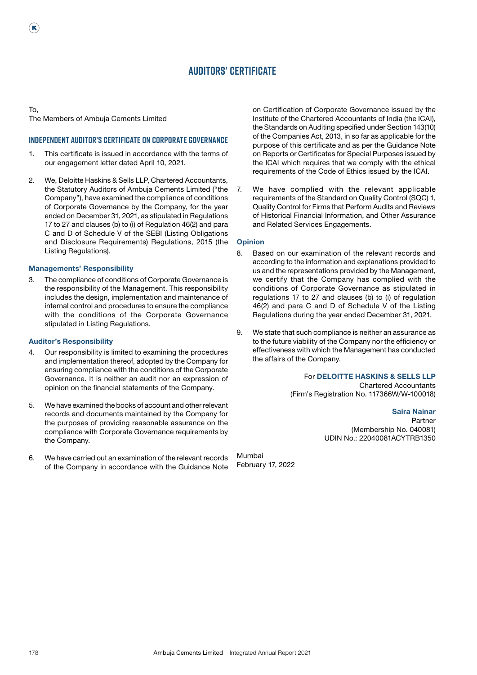## **AUDITORS' CERTIFICATE**

To, The Members of Ambuja Cements Limited

R

## **Independent Auditor's Certificate on Corporate Governance**

- 1. This certificate is issued in accordance with the terms of our engagement letter dated April 10, 2021.
- 2. We, Deloitte Haskins & Sells LLP, Chartered Accountants, the Statutory Auditors of Ambuja Cements Limited ("the Company"), have examined the compliance of conditions of Corporate Governance by the Company, for the year ended on December 31, 2021, as stipulated in Regulations 17 to 27 and clauses (b) to (i) of Regulation 46(2) and para C and D of Schedule V of the SEBI (Listing Obligations and Disclosure Requirements) Regulations, 2015 (the Listing Regulations).

### Managements' Responsibility

3. The compliance of conditions of Corporate Governance is the responsibility of the Management. This responsibility includes the design, implementation and maintenance of internal control and procedures to ensure the compliance with the conditions of the Corporate Governance stipulated in Listing Regulations.

#### Auditor's Responsibility

- 4. Our responsibility is limited to examining the procedures and implementation thereof, adopted by the Company for ensuring compliance with the conditions of the Corporate Governance. It is neither an audit nor an expression of opinion on the financial statements of the Company.
- 5. We have examined the books of account and other relevant records and documents maintained by the Company for the purposes of providing reasonable assurance on the compliance with Corporate Governance requirements by the Company.
- 6. We have carried out an examination of the relevant records of the Company in accordance with the Guidance Note

on Certification of Corporate Governance issued by the Institute of the Chartered Accountants of India (the ICAI), the Standards on Auditing specified under Section 143(10) of the Companies Act, 2013, in so far as applicable for the purpose of this certificate and as per the Guidance Note on Reports or Certificates for Special Purposes issued by the ICAI which requires that we comply with the ethical requirements of the Code of Ethics issued by the ICAI.

7. We have complied with the relevant applicable requirements of the Standard on Quality Control (SQC) 1, Quality Control for Firms that Perform Audits and Reviews of Historical Financial Information, and Other Assurance and Related Services Engagements.

#### **Opinion**

- 8. Based on our examination of the relevant records and according to the information and explanations provided to us and the representations provided by the Management, we certify that the Company has complied with the conditions of Corporate Governance as stipulated in regulations 17 to 27 and clauses (b) to (i) of regulation 46(2) and para C and D of Schedule V of the Listing Regulations during the year ended December 31, 2021.
- 9. We state that such compliance is neither an assurance as to the future viability of the Company nor the efficiency or effectiveness with which the Management has conducted the affairs of the Company.

## For DELOITTE HASKINS & SELLS LLP

Chartered Accountants (Firm's Registration No. 117366W/W-100018)

> Saira Nainar Partner (Membership No. 040081) UDIN No.: 22040081ACYTRB1350

Mumbai February 17, 2022